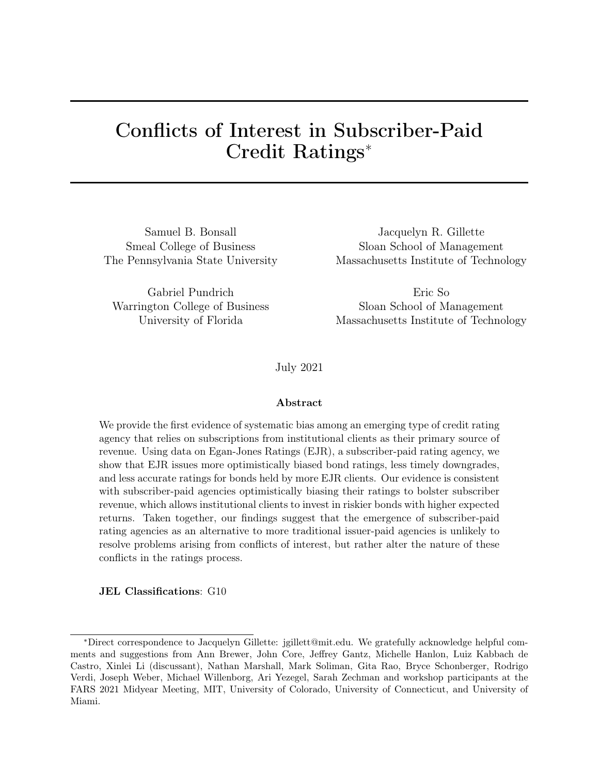# Conflicts of Interest in Subscriber-Paid Credit Ratings<sup>∗</sup>

Samuel B. Bonsall Jacquelyn R. Gillette

Smeal College of Business Sloan School of Management The Pennsylvania State University Massachusetts Institute of Technology

Gabriel Pundrich Eric So

Warrington College of Business Sloan School of Management University of Florida Massachusetts Institute of Technology

July 2021

# Abstract

We provide the first evidence of systematic bias among an emerging type of credit rating agency that relies on subscriptions from institutional clients as their primary source of revenue. Using data on Egan-Jones Ratings (EJR), a subscriber-paid rating agency, we show that EJR issues more optimistically biased bond ratings, less timely downgrades, and less accurate ratings for bonds held by more EJR clients. Our evidence is consistent with subscriber-paid agencies optimistically biasing their ratings to bolster subscriber revenue, which allows institutional clients to invest in riskier bonds with higher expected returns. Taken together, our findings suggest that the emergence of subscriber-paid rating agencies as an alternative to more traditional issuer-paid agencies is unlikely to resolve problems arising from conflicts of interest, but rather alter the nature of these conflicts in the ratings process.

JEL Classifications: G10

<sup>∗</sup>Direct correspondence to Jacquelyn Gillette: jgillett@mit.edu. We gratefully acknowledge helpful comments and suggestions from Ann Brewer, John Core, Jeffrey Gantz, Michelle Hanlon, Luiz Kabbach de Castro, Xinlei Li (discussant), Nathan Marshall, Mark Soliman, Gita Rao, Bryce Schonberger, Rodrigo Verdi, Joseph Weber, Michael Willenborg, Ari Yezegel, Sarah Zechman and workshop participants at the FARS 2021 Midyear Meeting, MIT, University of Colorado, University of Connecticut, and University of Miami.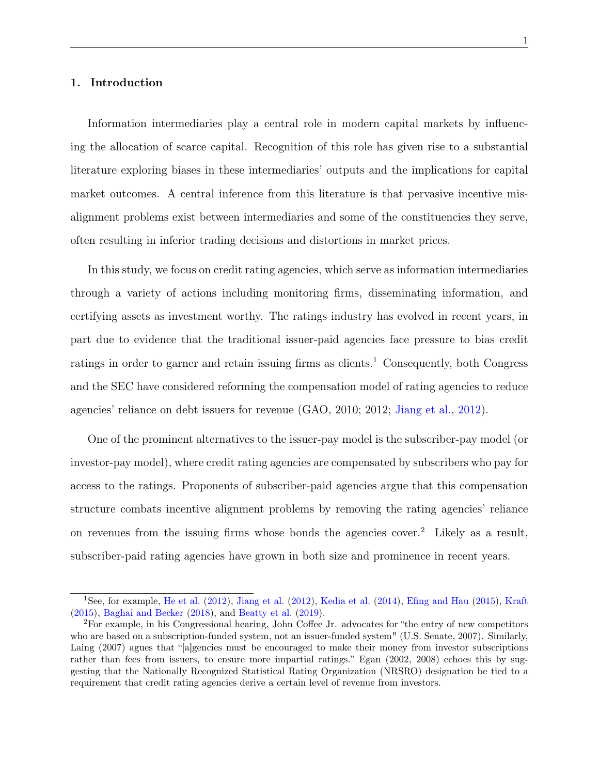# 1. Introduction

Information intermediaries play a central role in modern capital markets by influencing the allocation of scarce capital. Recognition of this role has given rise to a substantial literature exploring biases in these intermediaries' outputs and the implications for capital market outcomes. A central inference from this literature is that pervasive incentive misalignment problems exist between intermediaries and some of the constituencies they serve, often resulting in inferior trading decisions and distortions in market prices.

In this study, we focus on credit rating agencies, which serve as information intermediaries through a variety of actions including monitoring firms, disseminating information, and certifying assets as investment worthy. The ratings industry has evolved in recent years, in part due to evidence that the traditional issuer-paid agencies face pressure to bias credit ratings in order to garner and retain issuing firms as clients.<sup>1</sup> Consequently, both Congress and the SEC have considered reforming the compensation model of rating agencies to reduce agencies' reliance on debt issuers for revenue (GAO, 2010; 2012; [Jiang et al.,](#page-26-0) [2012\)](#page-26-0).

One of the prominent alternatives to the issuer-pay model is the subscriber-pay model (or investor-pay model), where credit rating agencies are compensated by subscribers who pay for access to the ratings. Proponents of subscriber-paid agencies argue that this compensation structure combats incentive alignment problems by removing the rating agencies' reliance on revenues from the issuing firms whose bonds the agencies cover.<sup>2</sup> Likely as a result, subscriber-paid rating agencies have grown in both size and prominence in recent years.

<sup>1</sup>See, for example, [He et al.](#page-26-1) [\(2012\)](#page-26-1), [Jiang et al.](#page-26-0) [\(2012\)](#page-26-0), [Kedia et al.](#page-26-2) [\(2014\)](#page-26-2), [Efing and Hau](#page-26-3) [\(2015\)](#page-26-3), [Kraft](#page-26-4) [\(2015\)](#page-26-4), [Baghai and Becker](#page-25-0) [\(2018\)](#page-25-0), and [Beatty et al.](#page-25-1) [\(2019\)](#page-25-1).

<sup>2</sup>For example, in his Congressional hearing, John Coffee Jr. advocates for "the entry of new competitors who are based on a subscription-funded system, not an issuer-funded system" (U.S. Senate, 2007). Similarly, Laing (2007) agues that "[a]gencies must be encouraged to make their money from investor subscriptions rather than fees from issuers, to ensure more impartial ratings." Egan (2002, 2008) echoes this by suggesting that the Nationally Recognized Statistical Rating Organization (NRSRO) designation be tied to a requirement that credit rating agencies derive a certain level of revenue from investors.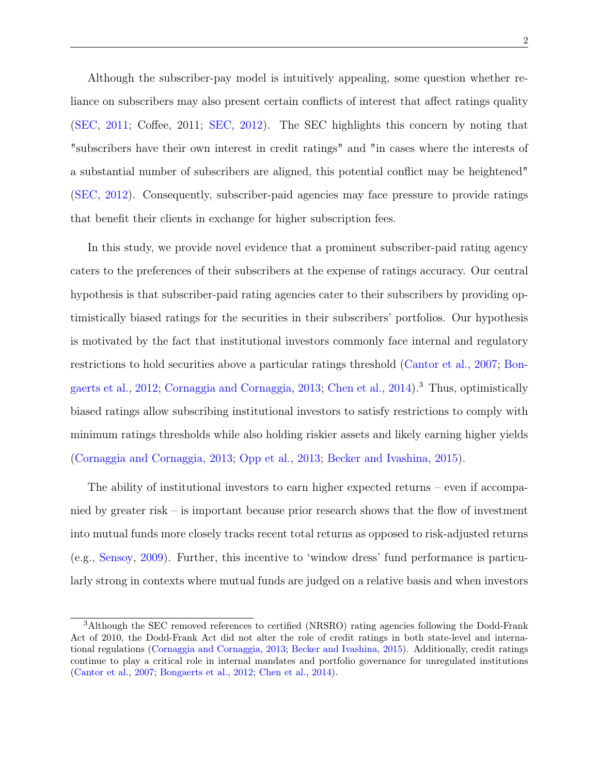Although the subscriber-pay model is intuitively appealing, some question whether reliance on subscribers may also present certain conflicts of interest that affect ratings quality [\(SEC,](#page-27-0) [2011;](#page-27-0) Coffee, 2011; [SEC,](#page-27-1) [2012\)](#page-27-1). The SEC highlights this concern by noting that "subscribers have their own interest in credit ratings" and "in cases where the interests of a substantial number of subscribers are aligned, this potential conflict may be heightened" [\(SEC,](#page-27-1) [2012\)](#page-27-1). Consequently, subscriber-paid agencies may face pressure to provide ratings that benefit their clients in exchange for higher subscription fees.

In this study, we provide novel evidence that a prominent subscriber-paid rating agency caters to the preferences of their subscribers at the expense of ratings accuracy. Our central hypothesis is that subscriber-paid rating agencies cater to their subscribers by providing optimistically biased ratings for the securities in their subscribers' portfolios. Our hypothesis is motivated by the fact that institutional investors commonly face internal and regulatory restrictions to hold securities above a particular ratings threshold [\(Cantor et al.,](#page-25-2) [2007;](#page-25-2) [Bon](#page-25-3)[gaerts et al.,](#page-25-3) [2012;](#page-25-3) [Cornaggia and Cornaggia,](#page-26-5) [2013;](#page-26-5) [Chen et al.,](#page-26-6) [2014\)](#page-26-6).<sup>3</sup> Thus, optimistically biased ratings allow subscribing institutional investors to satisfy restrictions to comply with minimum ratings thresholds while also holding riskier assets and likely earning higher yields [\(Cornaggia and Cornaggia,](#page-26-5) [2013;](#page-26-5) [Opp et al.,](#page-26-7) [2013;](#page-26-7) [Becker and Ivashina,](#page-25-4) [2015\)](#page-25-4).

The ability of institutional investors to earn higher expected returns – even if accompanied by greater risk – is important because prior research shows that the flow of investment into mutual funds more closely tracks recent total returns as opposed to risk-adjusted returns (e.g., [Sensoy,](#page-27-2) [2009\)](#page-27-2). Further, this incentive to 'window dress' fund performance is particularly strong in contexts where mutual funds are judged on a relative basis and when investors

<sup>&</sup>lt;sup>3</sup>Although the SEC removed references to certified (NRSRO) rating agencies following the Dodd-Frank Act of 2010, the Dodd-Frank Act did not alter the role of credit ratings in both state-level and international regulations [\(Cornaggia and Cornaggia,](#page-26-5) [2013;](#page-26-5) [Becker and Ivashina,](#page-25-4) [2015\)](#page-25-4). Additionally, credit ratings continue to play a critical role in internal mandates and portfolio governance for unregulated institutions [\(Cantor et al.,](#page-25-2) [2007;](#page-25-2) [Bongaerts et al.,](#page-25-3) [2012;](#page-25-3) [Chen et al.,](#page-26-6) [2014\)](#page-26-6).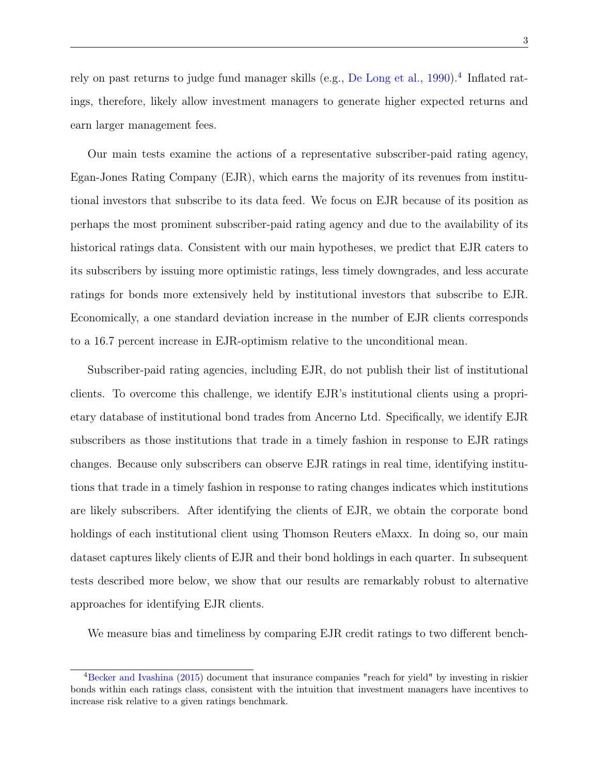rely on past returns to judge fund manager skills (e.g., [De Long et al.,](#page-26-8) [1990\)](#page-26-8).<sup>4</sup> Inflated ratings, therefore, likely allow investment managers to generate higher expected returns and earn larger management fees.

Our main tests examine the actions of a representative subscriber-paid rating agency, Egan-Jones Rating Company (EJR), which earns the majority of its revenues from institutional investors that subscribe to its data feed. We focus on EJR because of its position as perhaps the most prominent subscriber-paid rating agency and due to the availability of its historical ratings data. Consistent with our main hypotheses, we predict that EJR caters to its subscribers by issuing more optimistic ratings, less timely downgrades, and less accurate ratings for bonds more extensively held by institutional investors that subscribe to EJR. Economically, a one standard deviation increase in the number of EJR clients corresponds to a 16.7 percent increase in EJR-optimism relative to the unconditional mean.

Subscriber-paid rating agencies, including EJR, do not publish their list of institutional clients. To overcome this challenge, we identify EJR's institutional clients using a proprietary database of institutional bond trades from Ancerno Ltd. Specifically, we identify EJR subscribers as those institutions that trade in a timely fashion in response to EJR ratings changes. Because only subscribers can observe EJR ratings in real time, identifying institutions that trade in a timely fashion in response to rating changes indicates which institutions are likely subscribers. After identifying the clients of EJR, we obtain the corporate bond holdings of each institutional client using Thomson Reuters eMaxx. In doing so, our main dataset captures likely clients of EJR and their bond holdings in each quarter. In subsequent tests described more below, we show that our results are remarkably robust to alternative approaches for identifying EJR clients.

We measure bias and timeliness by comparing EJR credit ratings to two different bench-

<sup>&</sup>lt;sup>4</sup>[Becker and Ivashina](#page-25-4) [\(2015\)](#page-25-4) document that insurance companies "reach for yield" by investing in riskier bonds within each ratings class, consistent with the intuition that investment managers have incentives to increase risk relative to a given ratings benchmark.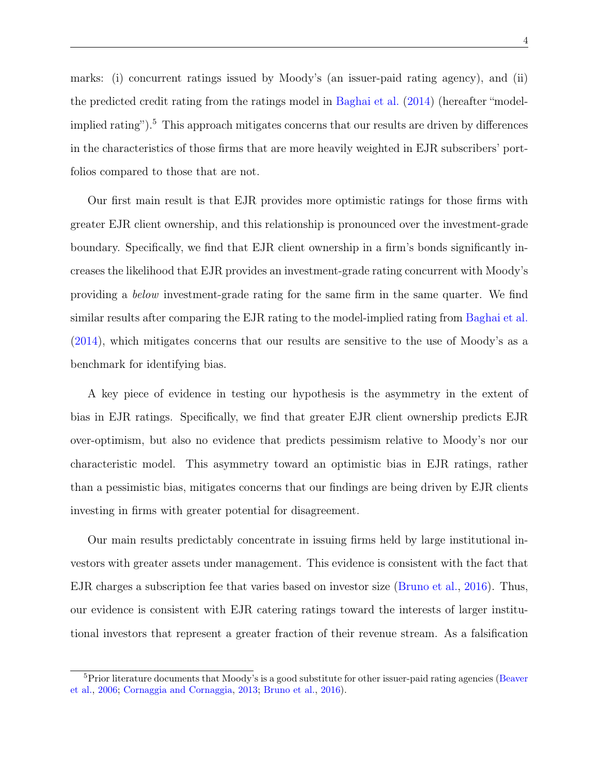marks: (i) concurrent ratings issued by Moody's (an issuer-paid rating agency), and (ii) the predicted credit rating from the ratings model in [Baghai et al.](#page-25-5) [\(2014\)](#page-25-5) (hereafter "modelimplied rating").<sup>5</sup> This approach mitigates concerns that our results are driven by differences in the characteristics of those firms that are more heavily weighted in EJR subscribers' portfolios compared to those that are not.

Our first main result is that EJR provides more optimistic ratings for those firms with greater EJR client ownership, and this relationship is pronounced over the investment-grade boundary. Specifically, we find that EJR client ownership in a firm's bonds significantly increases the likelihood that EJR provides an investment-grade rating concurrent with Moody's providing a below investment-grade rating for the same firm in the same quarter. We find similar results after comparing the EJR rating to the model-implied rating from [Baghai et al.](#page-25-5) [\(2014\)](#page-25-5), which mitigates concerns that our results are sensitive to the use of Moody's as a benchmark for identifying bias.

A key piece of evidence in testing our hypothesis is the asymmetry in the extent of bias in EJR ratings. Specifically, we find that greater EJR client ownership predicts EJR over-optimism, but also no evidence that predicts pessimism relative to Moody's nor our characteristic model. This asymmetry toward an optimistic bias in EJR ratings, rather than a pessimistic bias, mitigates concerns that our findings are being driven by EJR clients investing in firms with greater potential for disagreement.

Our main results predictably concentrate in issuing firms held by large institutional investors with greater assets under management. This evidence is consistent with the fact that EJR charges a subscription fee that varies based on investor size [\(Bruno et al.,](#page-25-6) [2016\)](#page-25-6). Thus, our evidence is consistent with EJR catering ratings toward the interests of larger institutional investors that represent a greater fraction of their revenue stream. As a falsification

<sup>&</sup>lt;sup>5</sup>Prior literature documents that Moody's is a good substitute for other issuer-paid rating agencies [\(Beaver](#page-25-7) [et al.,](#page-25-7) [2006;](#page-25-7) [Cornaggia and Cornaggia,](#page-26-5) [2013;](#page-26-5) [Bruno et al.,](#page-25-6) [2016\)](#page-25-6).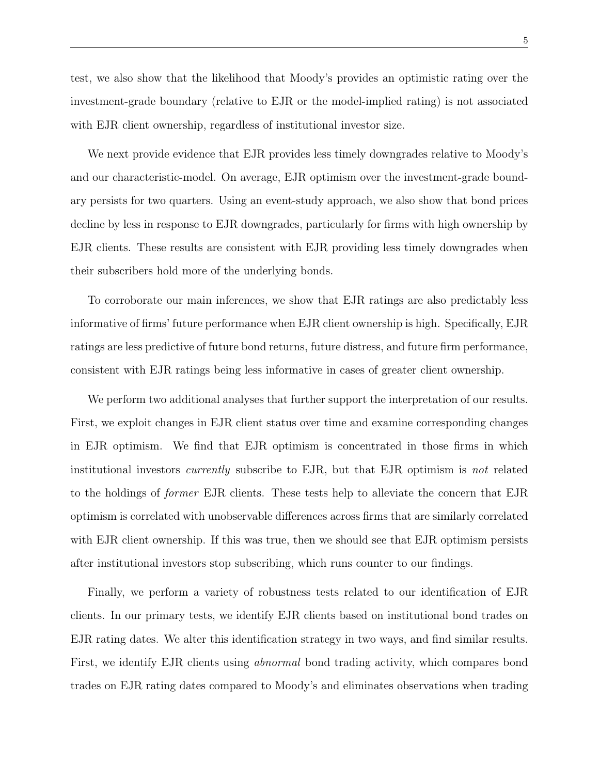test, we also show that the likelihood that Moody's provides an optimistic rating over the investment-grade boundary (relative to EJR or the model-implied rating) is not associated with EJR client ownership, regardless of institutional investor size.

We next provide evidence that EJR provides less timely downgrades relative to Moody's and our characteristic-model. On average, EJR optimism over the investment-grade boundary persists for two quarters. Using an event-study approach, we also show that bond prices decline by less in response to EJR downgrades, particularly for firms with high ownership by EJR clients. These results are consistent with EJR providing less timely downgrades when their subscribers hold more of the underlying bonds.

To corroborate our main inferences, we show that EJR ratings are also predictably less informative of firms' future performance when EJR client ownership is high. Specifically, EJR ratings are less predictive of future bond returns, future distress, and future firm performance, consistent with EJR ratings being less informative in cases of greater client ownership.

We perform two additional analyses that further support the interpretation of our results. First, we exploit changes in EJR client status over time and examine corresponding changes in EJR optimism. We find that EJR optimism is concentrated in those firms in which institutional investors currently subscribe to EJR, but that EJR optimism is not related to the holdings of former EJR clients. These tests help to alleviate the concern that EJR optimism is correlated with unobservable differences across firms that are similarly correlated with EJR client ownership. If this was true, then we should see that EJR optimism persists after institutional investors stop subscribing, which runs counter to our findings.

Finally, we perform a variety of robustness tests related to our identification of EJR clients. In our primary tests, we identify EJR clients based on institutional bond trades on EJR rating dates. We alter this identification strategy in two ways, and find similar results. First, we identify EJR clients using abnormal bond trading activity, which compares bond trades on EJR rating dates compared to Moody's and eliminates observations when trading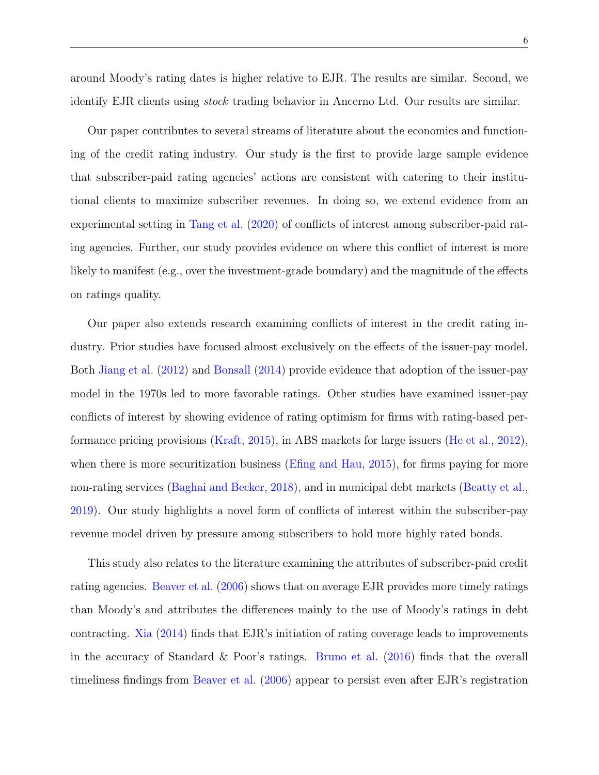around Moody's rating dates is higher relative to EJR. The results are similar. Second, we identify EJR clients using stock trading behavior in Ancerno Ltd. Our results are similar.

Our paper contributes to several streams of literature about the economics and functioning of the credit rating industry. Our study is the first to provide large sample evidence that subscriber-paid rating agencies' actions are consistent with catering to their institutional clients to maximize subscriber revenues. In doing so, we extend evidence from an experimental setting in [Tang et al.](#page-27-3) [\(2020\)](#page-27-3) of conflicts of interest among subscriber-paid rating agencies. Further, our study provides evidence on where this conflict of interest is more likely to manifest (e.g., over the investment-grade boundary) and the magnitude of the effects on ratings quality.

Our paper also extends research examining conflicts of interest in the credit rating industry. Prior studies have focused almost exclusively on the effects of the issuer-pay model. Both [Jiang et al.](#page-26-0) [\(2012\)](#page-26-0) and [Bonsall](#page-25-8) [\(2014\)](#page-25-8) provide evidence that adoption of the issuer-pay model in the 1970s led to more favorable ratings. Other studies have examined issuer-pay conflicts of interest by showing evidence of rating optimism for firms with rating-based performance pricing provisions [\(Kraft,](#page-26-4) [2015\)](#page-26-4), in ABS markets for large issuers [\(He et al.,](#page-26-1) [2012\)](#page-26-1), when there is more securitization business [\(Efing and Hau,](#page-26-3) [2015\)](#page-26-3), for firms paying for more non-rating services [\(Baghai and Becker,](#page-25-0) [2018\)](#page-25-0), and in municipal debt markets [\(Beatty et al.,](#page-25-1) [2019\)](#page-25-1). Our study highlights a novel form of conflicts of interest within the subscriber-pay revenue model driven by pressure among subscribers to hold more highly rated bonds.

This study also relates to the literature examining the attributes of subscriber-paid credit rating agencies. [Beaver et al.](#page-25-7) [\(2006\)](#page-25-7) shows that on average EJR provides more timely ratings than Moody's and attributes the differences mainly to the use of Moody's ratings in debt contracting. [Xia](#page-27-4) [\(2014\)](#page-27-4) finds that EJR's initiation of rating coverage leads to improvements in the accuracy of Standard & Poor's ratings. [Bruno et al.](#page-25-6) [\(2016\)](#page-25-6) finds that the overall timeliness findings from [Beaver et al.](#page-25-7) [\(2006\)](#page-25-7) appear to persist even after EJR's registration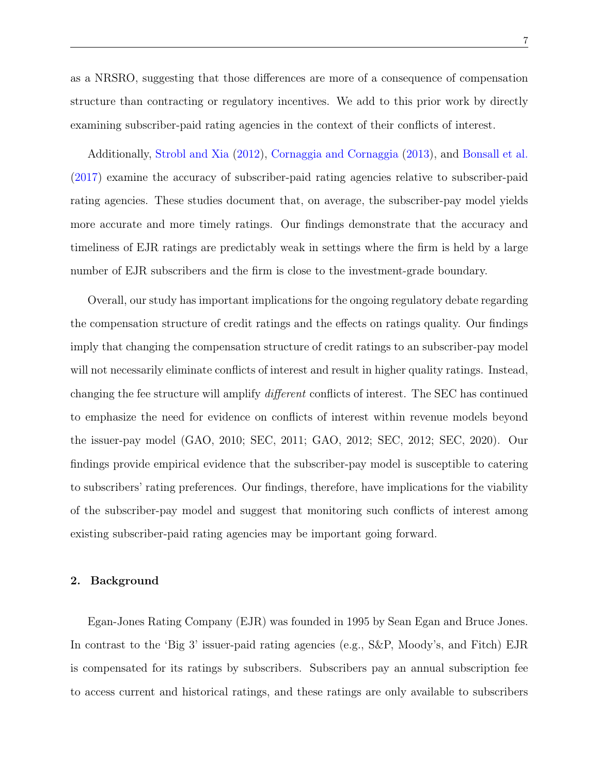as a NRSRO, suggesting that those differences are more of a consequence of compensation structure than contracting or regulatory incentives. We add to this prior work by directly examining subscriber-paid rating agencies in the context of their conflicts of interest.

Additionally, [Strobl and Xia](#page-27-5) [\(2012\)](#page-27-5), [Cornaggia and Cornaggia](#page-26-5) [\(2013\)](#page-26-5), and [Bonsall et al.](#page-25-9) [\(2017\)](#page-25-9) examine the accuracy of subscriber-paid rating agencies relative to subscriber-paid rating agencies. These studies document that, on average, the subscriber-pay model yields more accurate and more timely ratings. Our findings demonstrate that the accuracy and timeliness of EJR ratings are predictably weak in settings where the firm is held by a large number of EJR subscribers and the firm is close to the investment-grade boundary.

Overall, our study has important implications for the ongoing regulatory debate regarding the compensation structure of credit ratings and the effects on ratings quality. Our findings imply that changing the compensation structure of credit ratings to an subscriber-pay model will not necessarily eliminate conflicts of interest and result in higher quality ratings. Instead, changing the fee structure will amplify different conflicts of interest. The SEC has continued to emphasize the need for evidence on conflicts of interest within revenue models beyond the issuer-pay model (GAO, 2010; SEC, 2011; GAO, 2012; SEC, 2012; SEC, 2020). Our findings provide empirical evidence that the subscriber-pay model is susceptible to catering to subscribers' rating preferences. Our findings, therefore, have implications for the viability of the subscriber-pay model and suggest that monitoring such conflicts of interest among existing subscriber-paid rating agencies may be important going forward.

#### 2. Background

Egan-Jones Rating Company (EJR) was founded in 1995 by Sean Egan and Bruce Jones. In contrast to the 'Big 3' issuer-paid rating agencies (e.g., S&P, Moody's, and Fitch) EJR is compensated for its ratings by subscribers. Subscribers pay an annual subscription fee to access current and historical ratings, and these ratings are only available to subscribers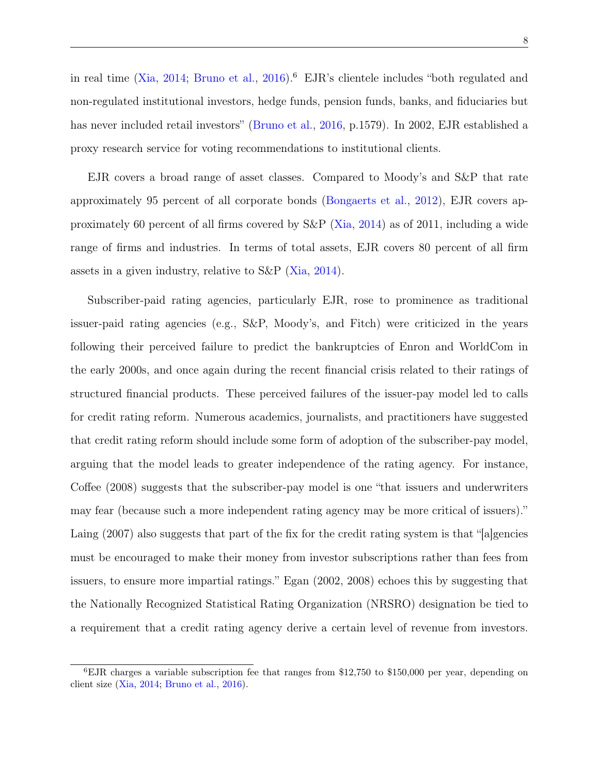in real time [\(Xia,](#page-27-4) [2014;](#page-27-4) [Bruno et al.,](#page-25-6) [2016\)](#page-25-6).<sup>6</sup> EJR's clientele includes "both regulated and non-regulated institutional investors, hedge funds, pension funds, banks, and fiduciaries but has never included retail investors" [\(Bruno et al.,](#page-25-6) [2016,](#page-25-6) p.1579). In 2002, EJR established a proxy research service for voting recommendations to institutional clients.

EJR covers a broad range of asset classes. Compared to Moody's and S&P that rate approximately 95 percent of all corporate bonds [\(Bongaerts et al.,](#page-25-3) [2012\)](#page-25-3), EJR covers approximately 60 percent of all firms covered by S&P [\(Xia,](#page-27-4) [2014\)](#page-27-4) as of 2011, including a wide range of firms and industries. In terms of total assets, EJR covers 80 percent of all firm assets in a given industry, relative to S&P [\(Xia,](#page-27-4) [2014\)](#page-27-4).

Subscriber-paid rating agencies, particularly EJR, rose to prominence as traditional issuer-paid rating agencies (e.g., S&P, Moody's, and Fitch) were criticized in the years following their perceived failure to predict the bankruptcies of Enron and WorldCom in the early 2000s, and once again during the recent financial crisis related to their ratings of structured financial products. These perceived failures of the issuer-pay model led to calls for credit rating reform. Numerous academics, journalists, and practitioners have suggested that credit rating reform should include some form of adoption of the subscriber-pay model, arguing that the model leads to greater independence of the rating agency. For instance, Coffee (2008) suggests that the subscriber-pay model is one "that issuers and underwriters may fear (because such a more independent rating agency may be more critical of issuers)." Laing (2007) also suggests that part of the fix for the credit rating system is that "[a]gencies must be encouraged to make their money from investor subscriptions rather than fees from issuers, to ensure more impartial ratings." Egan (2002, 2008) echoes this by suggesting that the Nationally Recognized Statistical Rating Organization (NRSRO) designation be tied to a requirement that a credit rating agency derive a certain level of revenue from investors.

 ${}^{6}$ EJR charges a variable subscription fee that ranges from \$12,750 to \$150,000 per year, depending on client size [\(Xia,](#page-27-4) [2014;](#page-27-4) [Bruno et al.,](#page-25-6) [2016\)](#page-25-6).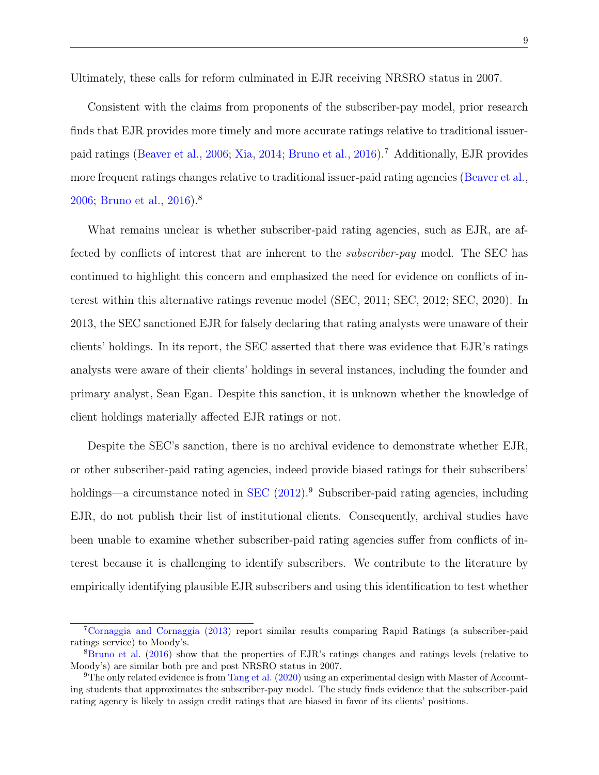Ultimately, these calls for reform culminated in EJR receiving NRSRO status in 2007.

Consistent with the claims from proponents of the subscriber-pay model, prior research finds that EJR provides more timely and more accurate ratings relative to traditional issuerpaid ratings [\(Beaver et al.,](#page-25-7) [2006;](#page-25-7) [Xia,](#page-27-4) [2014;](#page-27-4) [Bruno et al.,](#page-25-6) [2016\)](#page-25-6).<sup>7</sup> Additionally, EJR provides more frequent ratings changes relative to traditional issuer-paid rating agencies [\(Beaver et al.,](#page-25-7) [2006;](#page-25-7) [Bruno et al.,](#page-25-6) [2016\)](#page-25-6).<sup>8</sup>

What remains unclear is whether subscriber-paid rating agencies, such as EJR, are affected by conflicts of interest that are inherent to the subscriber-pay model. The SEC has continued to highlight this concern and emphasized the need for evidence on conflicts of interest within this alternative ratings revenue model (SEC, 2011; SEC, 2012; SEC, 2020). In 2013, the SEC sanctioned EJR for falsely declaring that rating analysts were unaware of their clients' holdings. In its report, the SEC asserted that there was evidence that EJR's ratings analysts were aware of their clients' holdings in several instances, including the founder and primary analyst, Sean Egan. Despite this sanction, it is unknown whether the knowledge of client holdings materially affected EJR ratings or not.

Despite the SEC's sanction, there is no archival evidence to demonstrate whether EJR, or other subscriber-paid rating agencies, indeed provide biased ratings for their subscribers' holdings—a circumstance noted in [SEC](#page-27-1)  $(2012)^9$  $(2012)^9$ . Subscriber-paid rating agencies, including EJR, do not publish their list of institutional clients. Consequently, archival studies have been unable to examine whether subscriber-paid rating agencies suffer from conflicts of interest because it is challenging to identify subscribers. We contribute to the literature by empirically identifying plausible EJR subscribers and using this identification to test whether

<sup>7</sup>[Cornaggia and Cornaggia](#page-26-5) [\(2013\)](#page-26-5) report similar results comparing Rapid Ratings (a subscriber-paid ratings service) to Moody's.

<sup>8</sup>[Bruno et al.](#page-25-6) [\(2016\)](#page-25-6) show that the properties of EJR's ratings changes and ratings levels (relative to Moody's) are similar both pre and post NRSRO status in 2007.

 $9$ The only related evidence is from [Tang et al.](#page-27-3) [\(2020\)](#page-27-3) using an experimental design with Master of Accounting students that approximates the subscriber-pay model. The study finds evidence that the subscriber-paid rating agency is likely to assign credit ratings that are biased in favor of its clients' positions.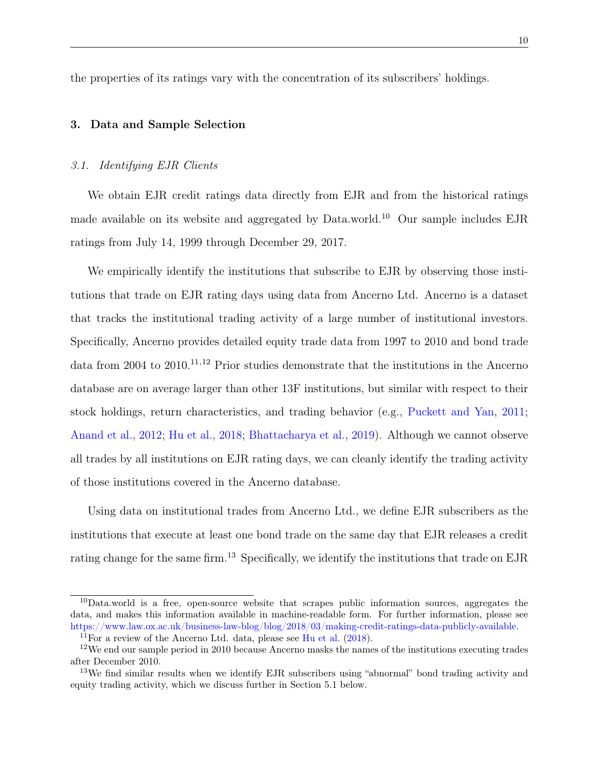the properties of its ratings vary with the concentration of its subscribers' holdings.

# 3. Data and Sample Selection

# 3.1. Identifying EJR Clients

We obtain EJR credit ratings data directly from EJR and from the historical ratings made available on its website and aggregated by Data.world.<sup>10</sup> Our sample includes EJR ratings from July 14, 1999 through December 29, 2017.

We empirically identify the institutions that subscribe to EJR by observing those institutions that trade on EJR rating days using data from Ancerno Ltd. Ancerno is a dataset that tracks the institutional trading activity of a large number of institutional investors. Specifically, Ancerno provides detailed equity trade data from 1997 to 2010 and bond trade data from 2004 to 2010.<sup>11,12</sup> Prior studies demonstrate that the institutions in the Ancerno database are on average larger than other 13F institutions, but similar with respect to their stock holdings, return characteristics, and trading behavior (e.g., [Puckett and Yan,](#page-27-6) [2011;](#page-27-6) [Anand et al.,](#page-25-10) [2012;](#page-25-10) [Hu et al.,](#page-26-9) [2018;](#page-26-9) [Bhattacharya et al.,](#page-25-11) [2019\)](#page-25-11). Although we cannot observe all trades by all institutions on EJR rating days, we can cleanly identify the trading activity of those institutions covered in the Ancerno database.

Using data on institutional trades from Ancerno Ltd., we define EJR subscribers as the institutions that execute at least one bond trade on the same day that EJR releases a credit rating change for the same firm.<sup>13</sup> Specifically, we identify the institutions that trade on EJR

 $10$ Data.world is a free, open-source website that scrapes public information sources, aggregates the data, and makes this information available in machine-readable form. For further information, please see [https://www.law.ox.ac.uk/business-law-blog/blog/2018/03/making-credit-ratings-data-publicly-available.](https://www.law.ox.ac.uk/business-law-blog/blog/2018/03/making-credit-ratings-data-publicly-available)

<sup>&</sup>lt;sup>11</sup>For a review of the Ancerno Ltd. data, please see [Hu et al.](#page-26-9)  $(2018)$ .

<sup>12</sup>We end our sample period in 2010 because Ancerno masks the names of the institutions executing trades after December 2010.

<sup>&</sup>lt;sup>13</sup>We find similar results when we identify EJR subscribers using "abnormal" bond trading activity and equity trading activity, which we discuss further in Section 5.1 below.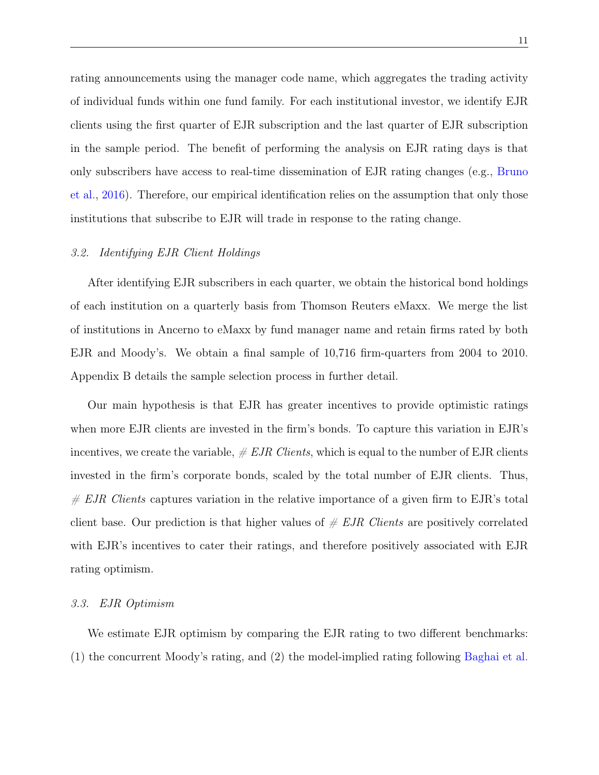rating announcements using the manager code name, which aggregates the trading activity of individual funds within one fund family. For each institutional investor, we identify EJR clients using the first quarter of EJR subscription and the last quarter of EJR subscription in the sample period. The benefit of performing the analysis on EJR rating days is that only subscribers have access to real-time dissemination of EJR rating changes (e.g., [Bruno](#page-25-6) [et al.,](#page-25-6) [2016\)](#page-25-6). Therefore, our empirical identification relies on the assumption that only those institutions that subscribe to EJR will trade in response to the rating change.

## 3.2. Identifying EJR Client Holdings

After identifying EJR subscribers in each quarter, we obtain the historical bond holdings of each institution on a quarterly basis from Thomson Reuters eMaxx. We merge the list of institutions in Ancerno to eMaxx by fund manager name and retain firms rated by both EJR and Moody's. We obtain a final sample of 10,716 firm-quarters from 2004 to 2010. Appendix B details the sample selection process in further detail.

Our main hypothesis is that EJR has greater incentives to provide optimistic ratings when more EJR clients are invested in the firm's bonds. To capture this variation in EJR's incentives, we create the variable,  $# EJR$  Clients, which is equal to the number of EJR clients invested in the firm's corporate bonds, scaled by the total number of EJR clients. Thus,  $# EJR$  Clients captures variation in the relative importance of a given firm to EJR's total client base. Our prediction is that higher values of  $# EJR$  Clients are positively correlated with EJR's incentives to cater their ratings, and therefore positively associated with EJR rating optimism.

#### 3.3. EJR Optimism

We estimate EJR optimism by comparing the EJR rating to two different benchmarks: (1) the concurrent Moody's rating, and (2) the model-implied rating following [Baghai et al.](#page-25-5)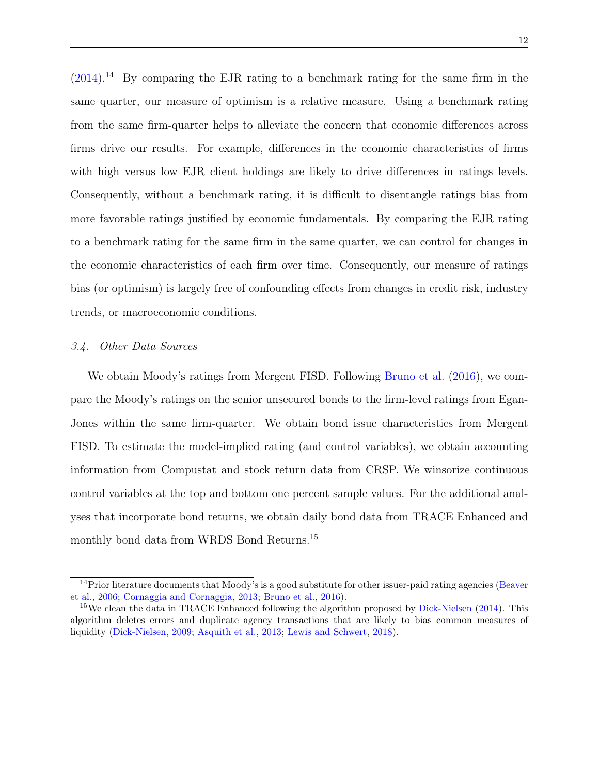$(2014).<sup>14</sup>$  $(2014).<sup>14</sup>$  By comparing the EJR rating to a benchmark rating for the same firm in the same quarter, our measure of optimism is a relative measure. Using a benchmark rating from the same firm-quarter helps to alleviate the concern that economic differences across firms drive our results. For example, differences in the economic characteristics of firms with high versus low EJR client holdings are likely to drive differences in ratings levels. Consequently, without a benchmark rating, it is difficult to disentangle ratings bias from more favorable ratings justified by economic fundamentals. By comparing the EJR rating to a benchmark rating for the same firm in the same quarter, we can control for changes in the economic characteristics of each firm over time. Consequently, our measure of ratings bias (or optimism) is largely free of confounding effects from changes in credit risk, industry trends, or macroeconomic conditions.

### 3.4. Other Data Sources

We obtain Moody's ratings from Mergent FISD. Following [Bruno et al.](#page-25-6) [\(2016\)](#page-25-6), we compare the Moody's ratings on the senior unsecured bonds to the firm-level ratings from Egan-Jones within the same firm-quarter. We obtain bond issue characteristics from Mergent FISD. To estimate the model-implied rating (and control variables), we obtain accounting information from Compustat and stock return data from CRSP. We winsorize continuous control variables at the top and bottom one percent sample values. For the additional analyses that incorporate bond returns, we obtain daily bond data from TRACE Enhanced and monthly bond data from WRDS Bond Returns.<sup>15</sup>

<sup>&</sup>lt;sup>14</sup>Prior literature documents that Moody's is a good substitute for other issuer-paid rating agencies [\(Beaver](#page-25-7) [et al.,](#page-25-7) [2006;](#page-25-7) [Cornaggia and Cornaggia,](#page-26-5) [2013;](#page-26-5) [Bruno et al.,](#page-25-6) [2016\)](#page-25-6).

<sup>&</sup>lt;sup>15</sup>We clean the data in TRACE Enhanced following the algorithm proposed by [Dick-Nielsen](#page-26-10) [\(2014\)](#page-26-10). This algorithm deletes errors and duplicate agency transactions that are likely to bias common measures of liquidity [\(Dick-Nielsen,](#page-26-11) [2009;](#page-26-11) [Asquith et al.,](#page-25-12) [2013;](#page-25-12) [Lewis and Schwert,](#page-26-12) [2018\)](#page-26-12).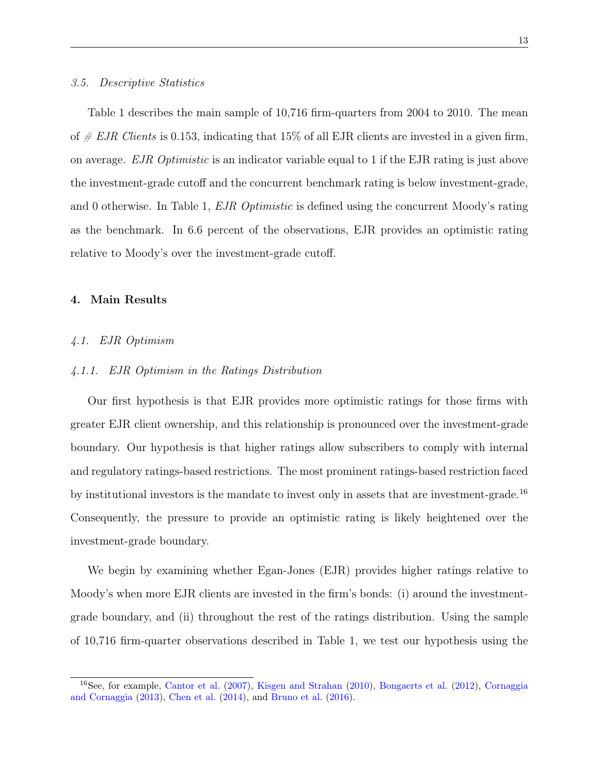# 3.5. Descriptive Statistics

Table 1 describes the main sample of 10,716 firm-quarters from 2004 to 2010. The mean of  $\# EJR$  Clients is 0.153, indicating that 15% of all EJR clients are invested in a given firm, on average. EJR Optimistic is an indicator variable equal to 1 if the EJR rating is just above the investment-grade cutoff and the concurrent benchmark rating is below investment-grade, and 0 otherwise. In Table 1, EJR Optimistic is defined using the concurrent Moody's rating as the benchmark. In 6.6 percent of the observations, EJR provides an optimistic rating relative to Moody's over the investment-grade cutoff.

#### 4. Main Results

#### 4.1. EJR Optimism

# 4.1.1. EJR Optimism in the Ratings Distribution

Our first hypothesis is that EJR provides more optimistic ratings for those firms with greater EJR client ownership, and this relationship is pronounced over the investment-grade boundary. Our hypothesis is that higher ratings allow subscribers to comply with internal and regulatory ratings-based restrictions. The most prominent ratings-based restriction faced by institutional investors is the mandate to invest only in assets that are investment-grade.<sup>16</sup> Consequently, the pressure to provide an optimistic rating is likely heightened over the investment-grade boundary.

We begin by examining whether Egan-Jones (EJR) provides higher ratings relative to Moody's when more EJR clients are invested in the firm's bonds: (i) around the investmentgrade boundary, and (ii) throughout the rest of the ratings distribution. Using the sample of 10,716 firm-quarter observations described in Table 1, we test our hypothesis using the

<sup>&</sup>lt;sup>16</sup>See, for example, [Cantor et al.](#page-25-2) [\(2007\)](#page-25-2), [Kisgen and Strahan](#page-26-13) [\(2010\)](#page-26-13), [Bongaerts et al.](#page-25-3) [\(2012\)](#page-25-3), [Cornaggia](#page-26-5) [and Cornaggia](#page-26-5) [\(2013\)](#page-26-5), [Chen et al.](#page-26-6) [\(2014\)](#page-26-6), and [Bruno et al.](#page-25-6) [\(2016\)](#page-25-6).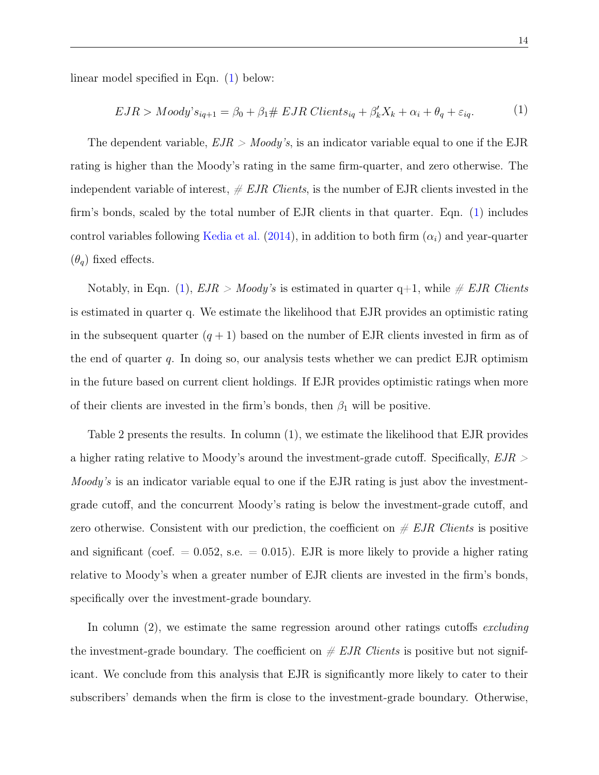linear model specified in Eqn. [\(1\)](#page-14-0) below:

<span id="page-14-0"></span>
$$
EJR > Moody's_{iq+1} = \beta_0 + \beta_1 \# \ EJR \ Clients_{iq} + \beta'_k X_k + \alpha_i + \theta_q + \varepsilon_{iq}. \tag{1}
$$

The dependent variable,  $EJR > Moody's$ , is an indicator variable equal to one if the EJR rating is higher than the Moody's rating in the same firm-quarter, and zero otherwise. The independent variable of interest,  $# EJR$  Clients, is the number of EJR clients invested in the firm's bonds, scaled by the total number of EJR clients in that quarter. Eqn. [\(1\)](#page-14-0) includes control variables following [Kedia et al.](#page-26-2)  $(2014)$ , in addition to both firm  $(\alpha_i)$  and year-quarter  $(\theta_q)$  fixed effects.

Notably, in Eqn. [\(1\)](#page-14-0),  $EJR > Moody's$  is estimated in quarter q+1, while  $\# EJR$  Clients is estimated in quarter q. We estimate the likelihood that EJR provides an optimistic rating in the subsequent quarter  $(q + 1)$  based on the number of EJR clients invested in firm as of the end of quarter  $q$ . In doing so, our analysis tests whether we can predict EJR optimism in the future based on current client holdings. If EJR provides optimistic ratings when more of their clients are invested in the firm's bonds, then  $\beta_1$  will be positive.

Table 2 presents the results. In column (1), we estimate the likelihood that EJR provides a higher rating relative to Moody's around the investment-grade cutoff. Specifically,  $EJR >$ Moody's is an indicator variable equal to one if the EJR rating is just abov the investmentgrade cutoff, and the concurrent Moody's rating is below the investment-grade cutoff, and zero otherwise. Consistent with our prediction, the coefficient on  $#$  EJR Clients is positive and significant (coef.  $= 0.052$ , s.e.  $= 0.015$ ). EJR is more likely to provide a higher rating relative to Moody's when a greater number of EJR clients are invested in the firm's bonds, specifically over the investment-grade boundary.

In column  $(2)$ , we estimate the same regression around other ratings cutoffs excluding the investment-grade boundary. The coefficient on  $\# EJR$  Clients is positive but not significant. We conclude from this analysis that EJR is significantly more likely to cater to their subscribers' demands when the firm is close to the investment-grade boundary. Otherwise,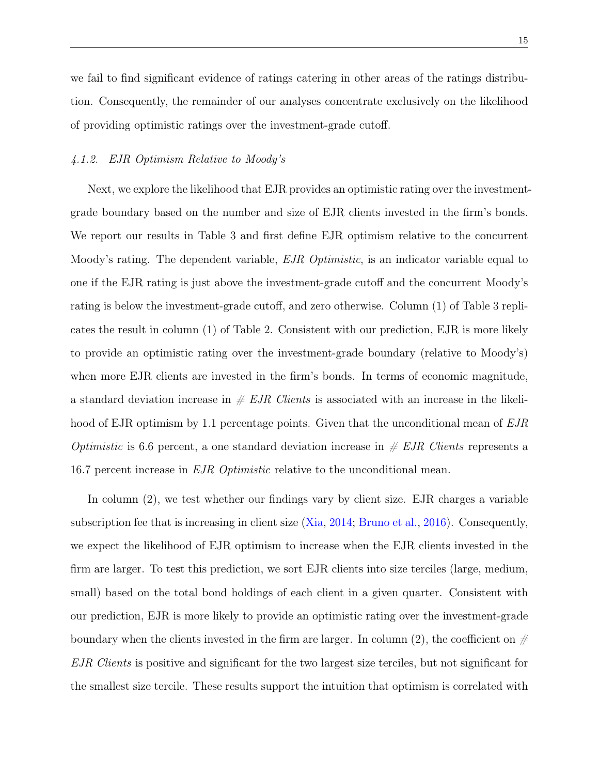we fail to find significant evidence of ratings catering in other areas of the ratings distribution. Consequently, the remainder of our analyses concentrate exclusively on the likelihood of providing optimistic ratings over the investment-grade cutoff.

# 4.1.2. EJR Optimism Relative to Moody's

Next, we explore the likelihood that EJR provides an optimistic rating over the investmentgrade boundary based on the number and size of EJR clients invested in the firm's bonds. We report our results in Table 3 and first define EJR optimism relative to the concurrent Moody's rating. The dependent variable, *EJR Optimistic*, is an indicator variable equal to one if the EJR rating is just above the investment-grade cutoff and the concurrent Moody's rating is below the investment-grade cutoff, and zero otherwise. Column (1) of Table 3 replicates the result in column (1) of Table 2. Consistent with our prediction, EJR is more likely to provide an optimistic rating over the investment-grade boundary (relative to Moody's) when more EJR clients are invested in the firm's bonds. In terms of economic magnitude, a standard deviation increase in  $\#$  EJR Clients is associated with an increase in the likelihood of EJR optimism by 1.1 percentage points. Given that the unconditional mean of EJR *Optimistic* is 6.6 percent, a one standard deviation increase in  $\#$  *EJR Clients* represents a 16.7 percent increase in EJR Optimistic relative to the unconditional mean.

In column (2), we test whether our findings vary by client size. EJR charges a variable subscription fee that is increasing in client size [\(Xia,](#page-27-4) [2014;](#page-27-4) [Bruno et al.,](#page-25-6) [2016\)](#page-25-6). Consequently, we expect the likelihood of EJR optimism to increase when the EJR clients invested in the firm are larger. To test this prediction, we sort EJR clients into size terciles (large, medium, small) based on the total bond holdings of each client in a given quarter. Consistent with our prediction, EJR is more likely to provide an optimistic rating over the investment-grade boundary when the clients invested in the firm are larger. In column (2), the coefficient on  $#$ EJR Clients is positive and significant for the two largest size terciles, but not significant for the smallest size tercile. These results support the intuition that optimism is correlated with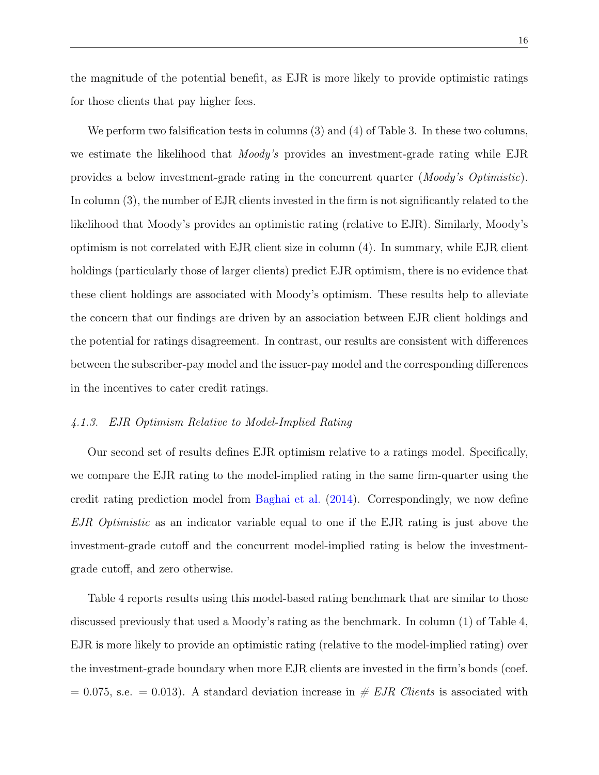the magnitude of the potential benefit, as EJR is more likely to provide optimistic ratings for those clients that pay higher fees.

We perform two falsification tests in columns (3) and (4) of Table 3. In these two columns, we estimate the likelihood that *Moody's* provides an investment-grade rating while EJR provides a below investment-grade rating in the concurrent quarter (Moody's Optimistic). In column (3), the number of EJR clients invested in the firm is not significantly related to the likelihood that Moody's provides an optimistic rating (relative to EJR). Similarly, Moody's optimism is not correlated with EJR client size in column (4). In summary, while EJR client holdings (particularly those of larger clients) predict EJR optimism, there is no evidence that these client holdings are associated with Moody's optimism. These results help to alleviate the concern that our findings are driven by an association between EJR client holdings and the potential for ratings disagreement. In contrast, our results are consistent with differences between the subscriber-pay model and the issuer-pay model and the corresponding differences in the incentives to cater credit ratings.

# 4.1.3. EJR Optimism Relative to Model-Implied Rating

Our second set of results defines EJR optimism relative to a ratings model. Specifically, we compare the EJR rating to the model-implied rating in the same firm-quarter using the credit rating prediction model from [Baghai et al.](#page-25-5) [\(2014\)](#page-25-5). Correspondingly, we now define EJR Optimistic as an indicator variable equal to one if the EJR rating is just above the investment-grade cutoff and the concurrent model-implied rating is below the investmentgrade cutoff, and zero otherwise.

Table 4 reports results using this model-based rating benchmark that are similar to those discussed previously that used a Moody's rating as the benchmark. In column (1) of Table 4, EJR is more likely to provide an optimistic rating (relative to the model-implied rating) over the investment-grade boundary when more EJR clients are invested in the firm's bonds (coef.  $= 0.075$ , s.e.  $= 0.013$ ). A standard deviation increase in  $\# EJR$  Clients is associated with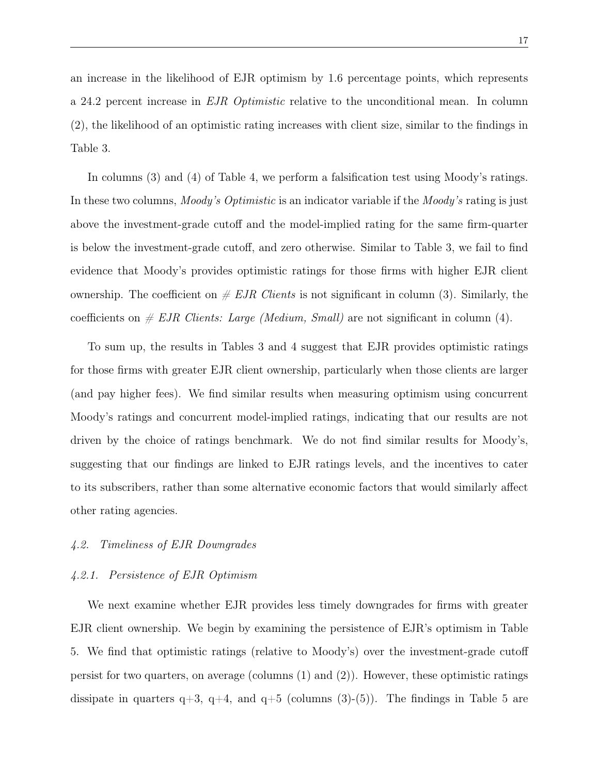an increase in the likelihood of EJR optimism by 1.6 percentage points, which represents a 24.2 percent increase in EJR Optimistic relative to the unconditional mean. In column (2), the likelihood of an optimistic rating increases with client size, similar to the findings in Table 3.

In columns (3) and (4) of Table 4, we perform a falsification test using Moody's ratings. In these two columns, *Moody's Optimistic* is an indicator variable if the *Moody's* rating is just above the investment-grade cutoff and the model-implied rating for the same firm-quarter is below the investment-grade cutoff, and zero otherwise. Similar to Table 3, we fail to find evidence that Moody's provides optimistic ratings for those firms with higher EJR client ownership. The coefficient on  $\# EJR$  Clients is not significant in column (3). Similarly, the coefficients on  $\#$  *EJR Clients: Large (Medium, Small)* are not significant in column (4).

To sum up, the results in Tables 3 and 4 suggest that EJR provides optimistic ratings for those firms with greater EJR client ownership, particularly when those clients are larger (and pay higher fees). We find similar results when measuring optimism using concurrent Moody's ratings and concurrent model-implied ratings, indicating that our results are not driven by the choice of ratings benchmark. We do not find similar results for Moody's, suggesting that our findings are linked to EJR ratings levels, and the incentives to cater to its subscribers, rather than some alternative economic factors that would similarly affect other rating agencies.

#### 4.2. Timeliness of EJR Downgrades

#### 4.2.1. Persistence of EJR Optimism

We next examine whether EJR provides less timely downgrades for firms with greater EJR client ownership. We begin by examining the persistence of EJR's optimism in Table 5. We find that optimistic ratings (relative to Moody's) over the investment-grade cutoff persist for two quarters, on average (columns (1) and (2)). However, these optimistic ratings dissipate in quarters  $q+3$ ,  $q+4$ , and  $q+5$  (columns  $(3)-(5)$ ). The findings in Table 5 are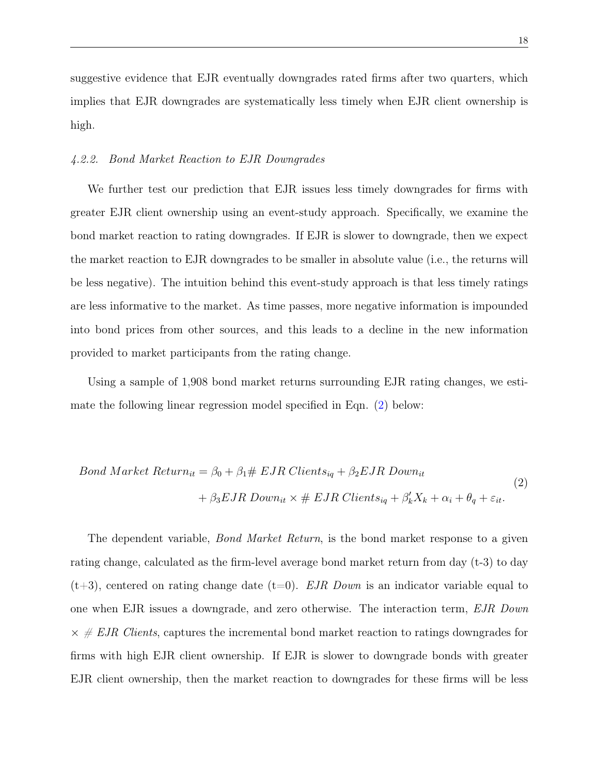suggestive evidence that EJR eventually downgrades rated firms after two quarters, which implies that EJR downgrades are systematically less timely when EJR client ownership is high.

#### 4.2.2. Bond Market Reaction to EJR Downgrades

We further test our prediction that EJR issues less timely downgrades for firms with greater EJR client ownership using an event-study approach. Specifically, we examine the bond market reaction to rating downgrades. If EJR is slower to downgrade, then we expect the market reaction to EJR downgrades to be smaller in absolute value (i.e., the returns will be less negative). The intuition behind this event-study approach is that less timely ratings are less informative to the market. As time passes, more negative information is impounded into bond prices from other sources, and this leads to a decline in the new information provided to market participants from the rating change.

Using a sample of 1,908 bond market returns surrounding EJR rating changes, we estimate the following linear regression model specified in Eqn. [\(2\)](#page-18-0) below:

<span id="page-18-0"></span>Bond Market Return<sub>it</sub> = 
$$
\beta_0 + \beta_1 \# EJR
$$
 Client $s_{iq} + \beta_2 EJR$  Down<sub>it</sub>  
+  $\beta_3 EJR$  Down<sub>it</sub> ×  $\# EJR$  Client $s_{iq} + \beta'_k X_k + \alpha_i + \theta_q + \varepsilon_{it}$ . (2)

The dependent variable, *Bond Market Return*, is the bond market response to a given rating change, calculated as the firm-level average bond market return from day (t-3) to day  $(t+3)$ , centered on rating change date  $(t=0)$ . EJR Down is an indicator variable equal to one when EJR issues a downgrade, and zero otherwise. The interaction term, EJR Down  $\times \# EJR$  Clients, captures the incremental bond market reaction to ratings downgrades for firms with high EJR client ownership. If EJR is slower to downgrade bonds with greater EJR client ownership, then the market reaction to downgrades for these firms will be less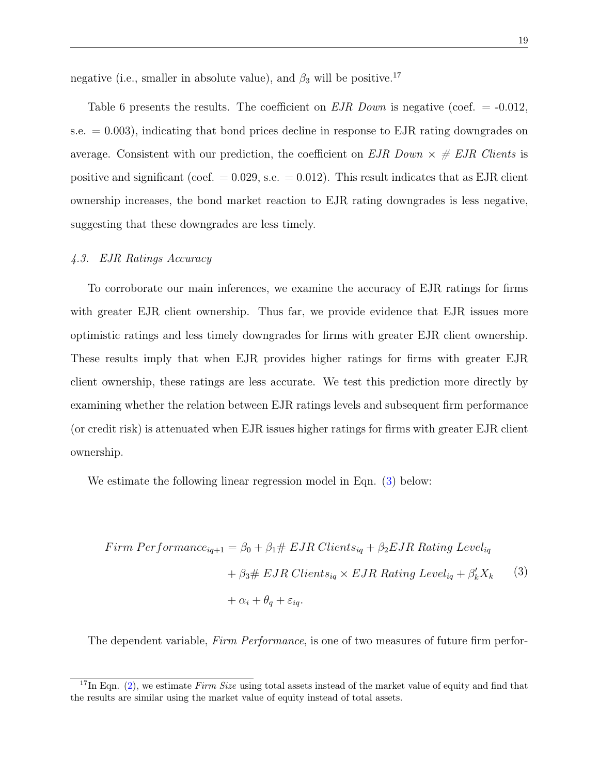negative (i.e., smaller in absolute value), and  $\beta_3$  will be positive.<sup>17</sup>

Table 6 presents the results. The coefficient on EJR Down is negative (coef.  $= -0.012$ , s.e.  $= 0.003$ , indicating that bond prices decline in response to EJR rating downgrades on average. Consistent with our prediction, the coefficient on  $EJR$  Down  $\times \# EJR$  Clients is positive and significant (coef.  $= 0.029$ , s.e.  $= 0.012$ ). This result indicates that as EJR client ownership increases, the bond market reaction to EJR rating downgrades is less negative, suggesting that these downgrades are less timely.

## 4.3. EJR Ratings Accuracy

To corroborate our main inferences, we examine the accuracy of EJR ratings for firms with greater EJR client ownership. Thus far, we provide evidence that EJR issues more optimistic ratings and less timely downgrades for firms with greater EJR client ownership. These results imply that when EJR provides higher ratings for firms with greater EJR client ownership, these ratings are less accurate. We test this prediction more directly by examining whether the relation between EJR ratings levels and subsequent firm performance (or credit risk) is attenuated when EJR issues higher ratings for firms with greater EJR client ownership.

We estimate the following linear regression model in Eqn.  $(3)$  below:

<span id="page-19-0"></span>
$$
Firm\,Performance_{iq+1} = \beta_0 + \beta_1 \# \ EJR\, Clients_{iq} + \beta_2 EJR\, Rating\, Level_{iq}
$$
\n
$$
+ \beta_3 \# \ EJR\, Clients_{iq} \times EJR\, Rating\, Level_{iq} + \beta'_k X_k \qquad (3)
$$
\n
$$
+ \alpha_i + \theta_q + \varepsilon_{iq}.
$$

The dependent variable, Firm Performance, is one of two measures of future firm perfor-

<sup>&</sup>lt;sup>17</sup>In Eqn. [\(2\)](#page-18-0), we estimate Firm Size using total assets instead of the market value of equity and find that the results are similar using the market value of equity instead of total assets.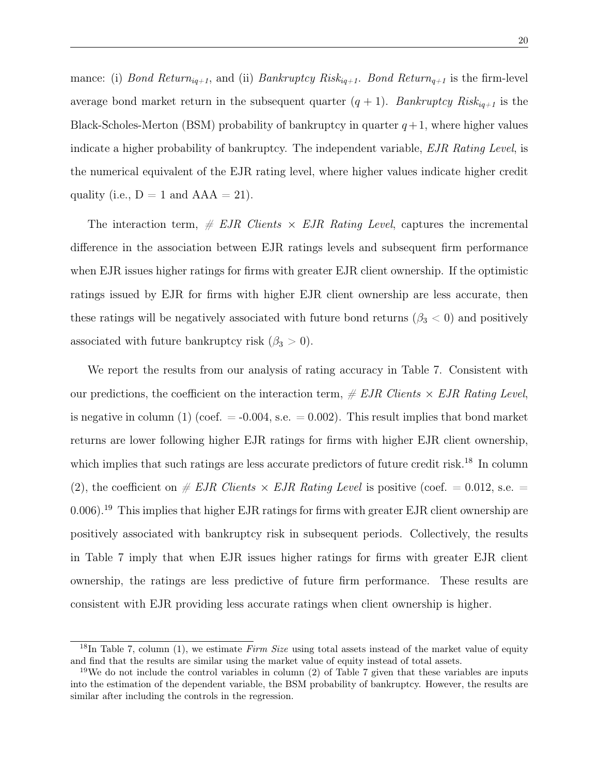mance: (i) Bond Return<sub>iq+1</sub>, and (ii) Bankruptcy Risk<sub>iq+1</sub>. Bond Return<sub>q+1</sub> is the firm-level average bond market return in the subsequent quarter  $(q + 1)$ . Bankruptcy Ris $k_{iq+1}$  is the Black-Scholes-Merton (BSM) probability of bankruptcy in quarter  $q+1$ , where higher values indicate a higher probability of bankruptcy. The independent variable, EJR Rating Level, is the numerical equivalent of the EJR rating level, where higher values indicate higher credit quality (i.e.,  $D = 1$  and  $AAA = 21$ ).

The interaction term,  $\#$  EJR Clients  $\times$  EJR Rating Level, captures the incremental difference in the association between EJR ratings levels and subsequent firm performance when EJR issues higher ratings for firms with greater EJR client ownership. If the optimistic ratings issued by EJR for firms with higher EJR client ownership are less accurate, then these ratings will be negatively associated with future bond returns ( $\beta_3$  < 0) and positively associated with future bankruptcy risk  $(\beta_3 > 0)$ .

We report the results from our analysis of rating accuracy in Table 7. Consistent with our predictions, the coefficient on the interaction term,  $\# EJR$  Clients  $\times EJR$  Rating Level, is negative in column (1) (coef.  $= -0.004$ , s.e.  $= 0.002$ ). This result implies that bond market returns are lower following higher EJR ratings for firms with higher EJR client ownership, which implies that such ratings are less accurate predictors of future credit risk.<sup>18</sup> In column (2), the coefficient on  $\#$  EJR Clients  $\times$  EJR Rating Level is positive (coef. = 0.012, s.e. =  $(0.006)$ .<sup>19</sup> This implies that higher EJR ratings for firms with greater EJR client ownership are positively associated with bankruptcy risk in subsequent periods. Collectively, the results in Table 7 imply that when EJR issues higher ratings for firms with greater EJR client ownership, the ratings are less predictive of future firm performance. These results are consistent with EJR providing less accurate ratings when client ownership is higher.

<sup>&</sup>lt;sup>18</sup>In Table 7, column (1), we estimate Firm Size using total assets instead of the market value of equity and find that the results are similar using the market value of equity instead of total assets.

<sup>&</sup>lt;sup>19</sup>We do not include the control variables in column  $(2)$  of Table 7 given that these variables are inputs into the estimation of the dependent variable, the BSM probability of bankruptcy. However, the results are similar after including the controls in the regression.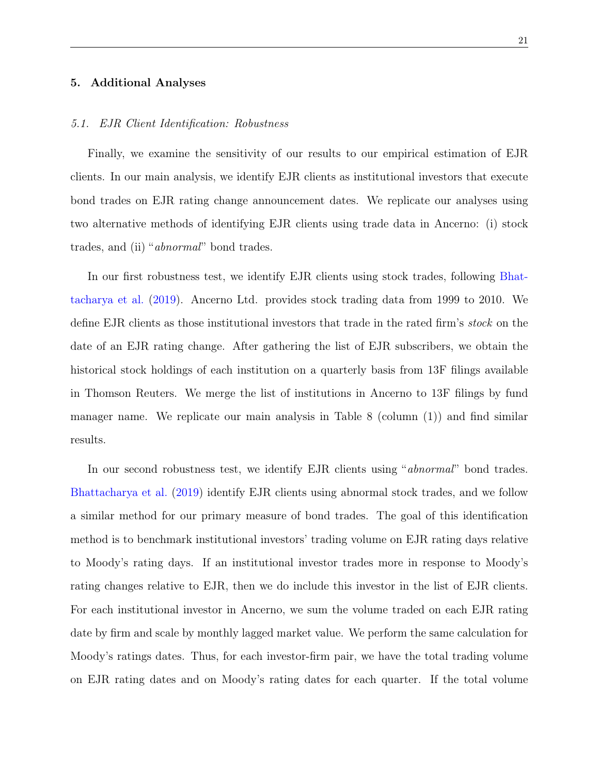#### 5. Additional Analyses

#### 5.1. EJR Client Identification: Robustness

Finally, we examine the sensitivity of our results to our empirical estimation of EJR clients. In our main analysis, we identify EJR clients as institutional investors that execute bond trades on EJR rating change announcement dates. We replicate our analyses using two alternative methods of identifying EJR clients using trade data in Ancerno: (i) stock trades, and (ii) "*abnormal*" bond trades.

In our first robustness test, we identify EJR clients using stock trades, following [Bhat](#page-25-11)[tacharya et al.](#page-25-11) [\(2019\)](#page-25-11). Ancerno Ltd. provides stock trading data from 1999 to 2010. We define EJR clients as those institutional investors that trade in the rated firm's stock on the date of an EJR rating change. After gathering the list of EJR subscribers, we obtain the historical stock holdings of each institution on a quarterly basis from 13F filings available in Thomson Reuters. We merge the list of institutions in Ancerno to 13F filings by fund manager name. We replicate our main analysis in Table 8 (column (1)) and find similar results.

In our second robustness test, we identify EJR clients using "*abnormal*" bond trades. [Bhattacharya et al.](#page-25-11) [\(2019\)](#page-25-11) identify EJR clients using abnormal stock trades, and we follow a similar method for our primary measure of bond trades. The goal of this identification method is to benchmark institutional investors' trading volume on EJR rating days relative to Moody's rating days. If an institutional investor trades more in response to Moody's rating changes relative to EJR, then we do include this investor in the list of EJR clients. For each institutional investor in Ancerno, we sum the volume traded on each EJR rating date by firm and scale by monthly lagged market value. We perform the same calculation for Moody's ratings dates. Thus, for each investor-firm pair, we have the total trading volume on EJR rating dates and on Moody's rating dates for each quarter. If the total volume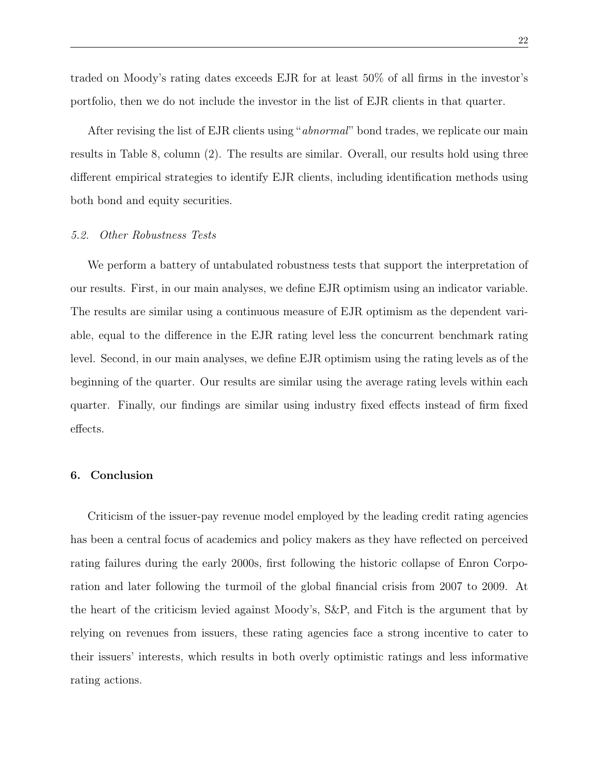traded on Moody's rating dates exceeds EJR for at least 50% of all firms in the investor's portfolio, then we do not include the investor in the list of EJR clients in that quarter.

After revising the list of EJR clients using "*abnormal*" bond trades, we replicate our main results in Table 8, column (2). The results are similar. Overall, our results hold using three different empirical strategies to identify EJR clients, including identification methods using both bond and equity securities.

#### 5.2. Other Robustness Tests

We perform a battery of untabulated robustness tests that support the interpretation of our results. First, in our main analyses, we define EJR optimism using an indicator variable. The results are similar using a continuous measure of EJR optimism as the dependent variable, equal to the difference in the EJR rating level less the concurrent benchmark rating level. Second, in our main analyses, we define EJR optimism using the rating levels as of the beginning of the quarter. Our results are similar using the average rating levels within each quarter. Finally, our findings are similar using industry fixed effects instead of firm fixed effects.

#### 6. Conclusion

Criticism of the issuer-pay revenue model employed by the leading credit rating agencies has been a central focus of academics and policy makers as they have reflected on perceived rating failures during the early 2000s, first following the historic collapse of Enron Corporation and later following the turmoil of the global financial crisis from 2007 to 2009. At the heart of the criticism levied against Moody's, S&P, and Fitch is the argument that by relying on revenues from issuers, these rating agencies face a strong incentive to cater to their issuers' interests, which results in both overly optimistic ratings and less informative rating actions.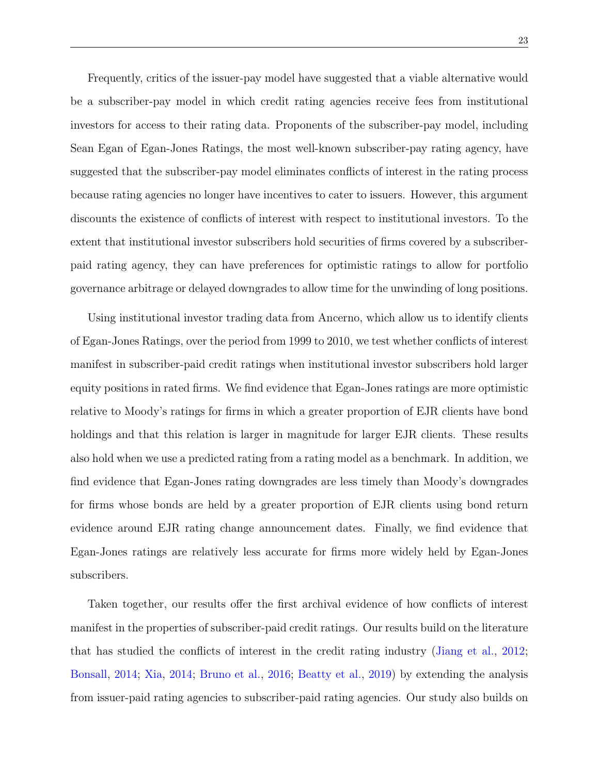Frequently, critics of the issuer-pay model have suggested that a viable alternative would be a subscriber-pay model in which credit rating agencies receive fees from institutional investors for access to their rating data. Proponents of the subscriber-pay model, including Sean Egan of Egan-Jones Ratings, the most well-known subscriber-pay rating agency, have suggested that the subscriber-pay model eliminates conflicts of interest in the rating process because rating agencies no longer have incentives to cater to issuers. However, this argument discounts the existence of conflicts of interest with respect to institutional investors. To the extent that institutional investor subscribers hold securities of firms covered by a subscriberpaid rating agency, they can have preferences for optimistic ratings to allow for portfolio governance arbitrage or delayed downgrades to allow time for the unwinding of long positions.

Using institutional investor trading data from Ancerno, which allow us to identify clients of Egan-Jones Ratings, over the period from 1999 to 2010, we test whether conflicts of interest manifest in subscriber-paid credit ratings when institutional investor subscribers hold larger equity positions in rated firms. We find evidence that Egan-Jones ratings are more optimistic relative to Moody's ratings for firms in which a greater proportion of EJR clients have bond holdings and that this relation is larger in magnitude for larger EJR clients. These results also hold when we use a predicted rating from a rating model as a benchmark. In addition, we find evidence that Egan-Jones rating downgrades are less timely than Moody's downgrades for firms whose bonds are held by a greater proportion of EJR clients using bond return evidence around EJR rating change announcement dates. Finally, we find evidence that Egan-Jones ratings are relatively less accurate for firms more widely held by Egan-Jones subscribers.

Taken together, our results offer the first archival evidence of how conflicts of interest manifest in the properties of subscriber-paid credit ratings. Our results build on the literature that has studied the conflicts of interest in the credit rating industry [\(Jiang et al.,](#page-26-0) [2012;](#page-26-0) [Bonsall,](#page-25-8) [2014;](#page-25-8) [Xia,](#page-27-4) [2014;](#page-27-4) [Bruno et al.,](#page-25-6) [2016;](#page-25-6) [Beatty et al.,](#page-25-1) [2019\)](#page-25-1) by extending the analysis from issuer-paid rating agencies to subscriber-paid rating agencies. Our study also builds on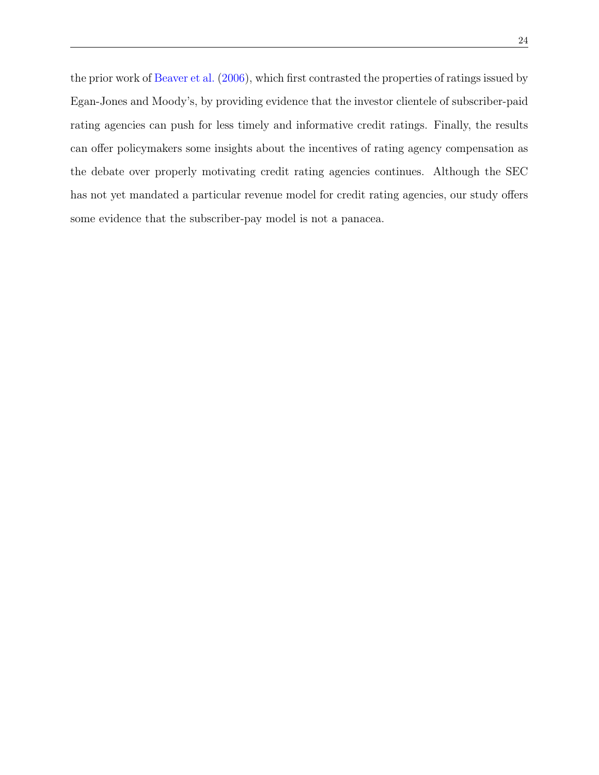the prior work of [Beaver et al.](#page-25-7) [\(2006\)](#page-25-7), which first contrasted the properties of ratings issued by Egan-Jones and Moody's, by providing evidence that the investor clientele of subscriber-paid rating agencies can push for less timely and informative credit ratings. Finally, the results can offer policymakers some insights about the incentives of rating agency compensation as the debate over properly motivating credit rating agencies continues. Although the SEC has not yet mandated a particular revenue model for credit rating agencies, our study offers some evidence that the subscriber-pay model is not a panacea.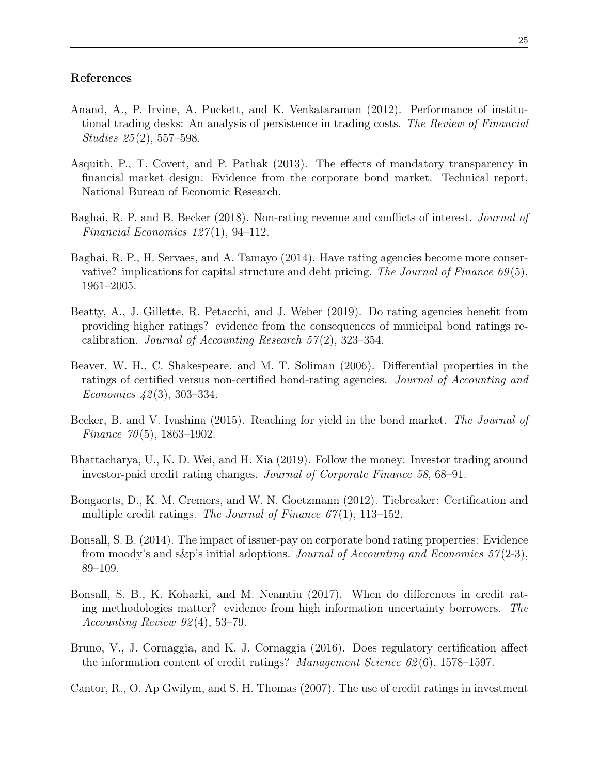# References

- <span id="page-25-10"></span>Anand, A., P. Irvine, A. Puckett, and K. Venkataraman (2012). Performance of institutional trading desks: An analysis of persistence in trading costs. The Review of Financial Studies 25 (2), 557–598.
- <span id="page-25-12"></span>Asquith, P., T. Covert, and P. Pathak (2013). The effects of mandatory transparency in financial market design: Evidence from the corporate bond market. Technical report, National Bureau of Economic Research.
- <span id="page-25-0"></span>Baghai, R. P. and B. Becker (2018). Non-rating revenue and conflicts of interest. Journal of Financial Economics  $127(1)$ , 94–112.
- <span id="page-25-5"></span>Baghai, R. P., H. Servaes, and A. Tamayo (2014). Have rating agencies become more conservative? implications for capital structure and debt pricing. The Journal of Finance  $69(5)$ , 1961–2005.
- <span id="page-25-1"></span>Beatty, A., J. Gillette, R. Petacchi, and J. Weber (2019). Do rating agencies benefit from providing higher ratings? evidence from the consequences of municipal bond ratings recalibration. Journal of Accounting Research  $57(2)$ , 323–354.
- <span id="page-25-7"></span>Beaver, W. H., C. Shakespeare, and M. T. Soliman (2006). Differential properties in the ratings of certified versus non-certified bond-rating agencies. Journal of Accounting and Economics  $42(3)$ , 303–334.
- <span id="page-25-4"></span>Becker, B. and V. Ivashina (2015). Reaching for yield in the bond market. The Journal of Finance  $70(5)$ , 1863–1902.
- <span id="page-25-11"></span>Bhattacharya, U., K. D. Wei, and H. Xia (2019). Follow the money: Investor trading around investor-paid credit rating changes. Journal of Corporate Finance 58, 68–91.
- <span id="page-25-3"></span>Bongaerts, D., K. M. Cremers, and W. N. Goetzmann (2012). Tiebreaker: Certification and multiple credit ratings. The Journal of Finance  $67(1)$ , 113–152.
- <span id="page-25-8"></span>Bonsall, S. B. (2014). The impact of issuer-pay on corporate bond rating properties: Evidence from moody's and s&p's initial adoptions. Journal of Accounting and Economics  $57(2-3)$ , 89–109.
- <span id="page-25-9"></span>Bonsall, S. B., K. Koharki, and M. Neamtiu (2017). When do differences in credit rating methodologies matter? evidence from high information uncertainty borrowers. The Accounting Review 92 (4), 53–79.
- <span id="page-25-6"></span>Bruno, V., J. Cornaggia, and K. J. Cornaggia (2016). Does regulatory certification affect the information content of credit ratings? *Management Science 62* (6), 1578–1597.

<span id="page-25-2"></span>Cantor, R., O. Ap Gwilym, and S. H. Thomas (2007). The use of credit ratings in investment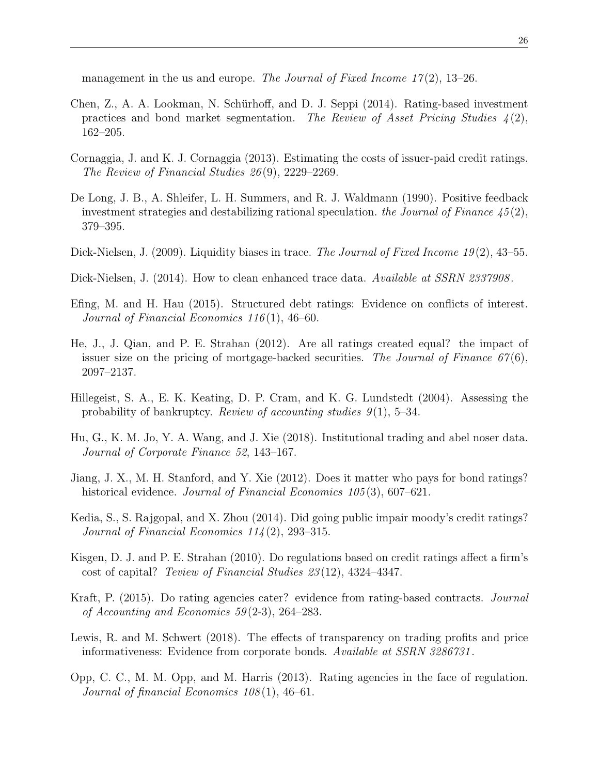management in the us and europe. The Journal of Fixed Income  $17(2)$ , 13–26.

- <span id="page-26-6"></span>Chen, Z., A. A. Lookman, N. Schürhoff, and D. J. Seppi (2014). Rating-based investment practices and bond market segmentation. The Review of Asset Pricing Studies  $\mathcal{L}(2)$ , 162–205.
- <span id="page-26-5"></span>Cornaggia, J. and K. J. Cornaggia (2013). Estimating the costs of issuer-paid credit ratings. The Review of Financial Studies 26 (9), 2229–2269.
- <span id="page-26-8"></span>De Long, J. B., A. Shleifer, L. H. Summers, and R. J. Waldmann (1990). Positive feedback investment strategies and destabilizing rational speculation. the Journal of Finance  $45(2)$ , 379–395.
- <span id="page-26-11"></span>Dick-Nielsen, J. (2009). Liquidity biases in trace. The Journal of Fixed Income 19(2), 43–55.
- <span id="page-26-10"></span>Dick-Nielsen, J. (2014). How to clean enhanced trace data. Available at SSRN 2337908.
- <span id="page-26-3"></span>Efing, M. and H. Hau (2015). Structured debt ratings: Evidence on conflicts of interest. Journal of Financial Economics 116 (1), 46–60.
- <span id="page-26-1"></span>He, J., J. Qian, and P. E. Strahan (2012). Are all ratings created equal? the impact of issuer size on the pricing of mortgage-backed securities. The Journal of Finance  $67(6)$ , 2097–2137.
- <span id="page-26-14"></span>Hillegeist, S. A., E. K. Keating, D. P. Cram, and K. G. Lundstedt (2004). Assessing the probability of bankruptcy. Review of accounting studies  $9(1)$ , 5–34.
- <span id="page-26-9"></span>Hu, G., K. M. Jo, Y. A. Wang, and J. Xie (2018). Institutional trading and abel noser data. Journal of Corporate Finance 52, 143–167.
- <span id="page-26-0"></span>Jiang, J. X., M. H. Stanford, and Y. Xie (2012). Does it matter who pays for bond ratings? historical evidence. *Journal of Financial Economics 105* (3), 607–621.
- <span id="page-26-2"></span>Kedia, S., S. Rajgopal, and X. Zhou (2014). Did going public impair moody's credit ratings? Journal of Financial Economics 114 (2), 293–315.
- <span id="page-26-13"></span>Kisgen, D. J. and P. E. Strahan (2010). Do regulations based on credit ratings affect a firm's cost of capital? Teview of Financial Studies 23 (12), 4324–4347.
- <span id="page-26-4"></span>Kraft, P. (2015). Do rating agencies cater? evidence from rating-based contracts. *Journal* of Accounting and Economics 59 (2-3), 264–283.
- <span id="page-26-12"></span>Lewis, R. and M. Schwert (2018). The effects of transparency on trading profits and price informativeness: Evidence from corporate bonds. Available at SSRN 3286731.
- <span id="page-26-7"></span>Opp, C. C., M. M. Opp, and M. Harris (2013). Rating agencies in the face of regulation. Journal of financial Economics 108 (1), 46–61.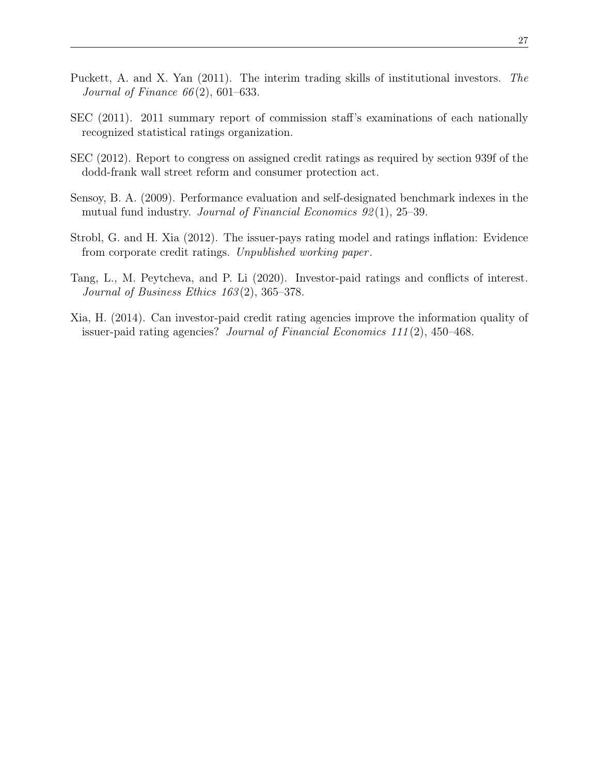- <span id="page-27-6"></span>Puckett, A. and X. Yan (2011). The interim trading skills of institutional investors. The *Journal of Finance*  $66(2)$ , 601–633.
- <span id="page-27-0"></span>SEC (2011). 2011 summary report of commission staff's examinations of each nationally recognized statistical ratings organization.
- <span id="page-27-1"></span>SEC (2012). Report to congress on assigned credit ratings as required by section 939f of the dodd-frank wall street reform and consumer protection act.
- <span id="page-27-2"></span>Sensoy, B. A. (2009). Performance evaluation and self-designated benchmark indexes in the mutual fund industry. *Journal of Financial Economics 92*(1), 25–39.
- <span id="page-27-5"></span>Strobl, G. and H. Xia (2012). The issuer-pays rating model and ratings inflation: Evidence from corporate credit ratings. Unpublished working paper .
- <span id="page-27-3"></span>Tang, L., M. Peytcheva, and P. Li (2020). Investor-paid ratings and conflicts of interest. Journal of Business Ethics 163 (2), 365–378.
- <span id="page-27-4"></span>Xia, H. (2014). Can investor-paid credit rating agencies improve the information quality of issuer-paid rating agencies? Journal of Financial Economics  $111(2)$ , 450–468.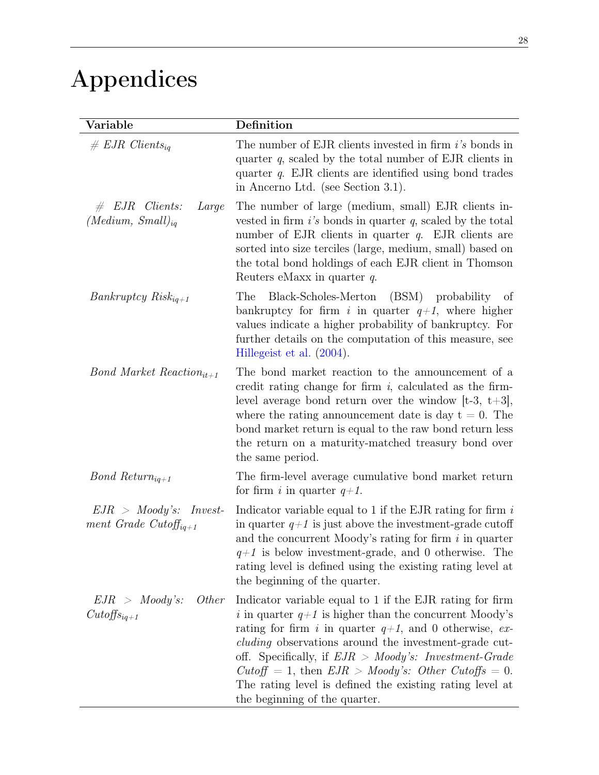# Appendices

| Variable                                                      | Definition                                                                                                                                                                                                                                                                                                                                                                                                                                                            |
|---------------------------------------------------------------|-----------------------------------------------------------------------------------------------------------------------------------------------------------------------------------------------------------------------------------------------------------------------------------------------------------------------------------------------------------------------------------------------------------------------------------------------------------------------|
| $# EJR$ Clients <sub>ia</sub>                                 | The number of EJR clients invested in firm i's bonds in<br>quarter $q$ , scaled by the total number of EJR clients in<br>quarter $q$ . EJR clients are identified using bond trades<br>in Ancerno Ltd. (see Section 3.1).                                                                                                                                                                                                                                             |
| $\#$ EJR Clients:<br>Large<br>$(Medium, Small)_{iq}$          | The number of large (medium, small) EJR clients in-<br>vested in firm $i$ 's bonds in quarter q, scaled by the total<br>number of EJR clients in quarter $q$ . EJR clients are<br>sorted into size terciles (large, medium, small) based on<br>the total bond holdings of each EJR client in Thomson<br>Reuters eMaxx in quarter $q$ .                                                                                                                                |
| $Bankruptcy\ Risk_{iq+1}$                                     | (BSM) probability<br>Black-Scholes-Merton<br>The<br>of<br>bankruptcy for firm i in quarter $q+1$ , where higher<br>values indicate a higher probability of bankruptcy. For<br>further details on the computation of this measure, see<br>Hillegeist et al. (2004).                                                                                                                                                                                                    |
| <i>Bond Market Reaction</i> <sub>it+1</sub>                   | The bond market reaction to the announcement of a<br>credit rating change for firm $i$ , calculated as the firm-<br>level average bond return over the window [t-3, t+3],<br>where the rating announcement date is day $t = 0$ . The<br>bond market return is equal to the raw bond return less<br>the return on a maturity-matched treasury bond over<br>the same period.                                                                                            |
| <i>Bond Return</i> <sub>iq+1</sub>                            | The firm-level average cumulative bond market return<br>for firm i in quarter $q+1$ .                                                                                                                                                                                                                                                                                                                                                                                 |
| $EJR > Moody's: Invest-$<br>ment Grade Cutoff <sub>iq+1</sub> | Indicator variable equal to 1 if the EJR rating for firm $i$<br>in quarter $q+1$ is just above the investment-grade cutoff<br>and the concurrent Moody's rating for firm $i$ in quarter<br>$q\!+\!1$ is below investment-grade, and 0 otherwise. The<br>rating level is defined using the existing rating level at<br>the beginning of the quarter.                                                                                                                   |
| EJR > Moody's:<br><i>Other</i><br>$Cut of f_{sq+1}$           | Indicator variable equal to 1 if the EJR rating for firm<br>i in quarter $q+1$ is higher than the concurrent Moody's<br>rating for firm i in quarter $q+1$ , and 0 otherwise, ex-<br><i>cluding</i> observations around the investment-grade cut-<br>off. Specifically, if $EJR > Moody's: Investment-Grade$<br>$Cutoff = 1$ , then $EJR > Moody's: Other Cutoffs = 0$ .<br>The rating level is defined the existing rating level at<br>the beginning of the quarter. |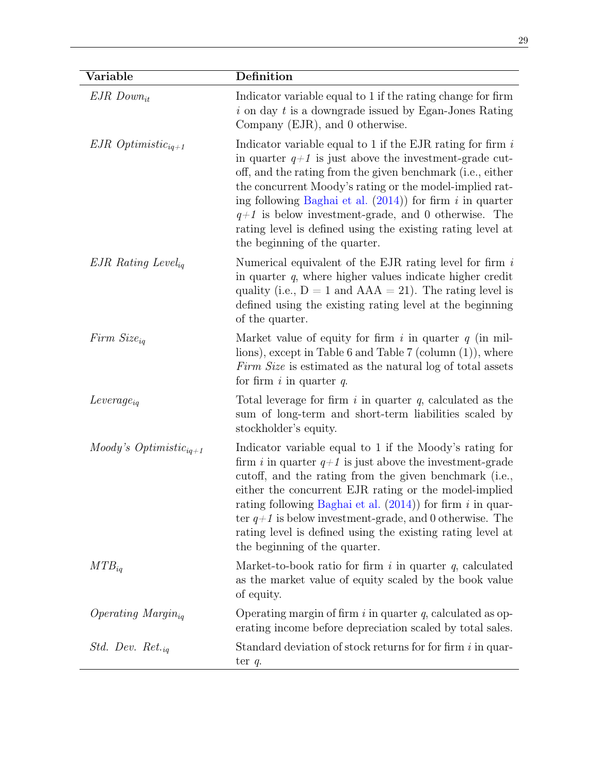| Variable                            | Definition                                                                                                                                                                                                                                                                                                                                                                                                                                                                   |
|-------------------------------------|------------------------------------------------------------------------------------------------------------------------------------------------------------------------------------------------------------------------------------------------------------------------------------------------------------------------------------------------------------------------------------------------------------------------------------------------------------------------------|
| $EJR\ Down_{it}$                    | Indicator variable equal to 1 if the rating change for firm<br>$i$ on day $t$ is a downgrade issued by Egan-Jones Rating<br>Company (EJR), and 0 otherwise.                                                                                                                                                                                                                                                                                                                  |
| $EJR$ Optimistic <sub>iq+1</sub>    | Indicator variable equal to 1 if the EJR rating for firm $i$<br>in quarter $q+1$ is just above the investment-grade cut-<br>off, and the rating from the given benchmark (i.e., either<br>the concurrent Moody's rating or the model-implied rat-<br>ing following Baghai et al. $(2014)$ for firm i in quarter<br>$q+1$ is below investment-grade, and 0 otherwise. The<br>rating level is defined using the existing rating level at<br>the beginning of the quarter.      |
| $EJR$ Rating Level <sub>ia</sub>    | Numerical equivalent of the EJR rating level for firm $i$<br>in quarter $q$ , where higher values indicate higher credit<br>quality (i.e., $D = 1$ and $AAA = 21$ ). The rating level is<br>defined using the existing rating level at the beginning<br>of the quarter.                                                                                                                                                                                                      |
| Firm $Size_{ia}$                    | Market value of equity for firm i in quarter $q$ (in mil-<br>lions), except in Table 6 and Table 7 (column $(1)$ ), where<br>Firm Size is estimated as the natural log of total assets<br>for firm $i$ in quarter $q$ .                                                                                                                                                                                                                                                      |
| $Leverage_{iq}$                     | Total leverage for firm $i$ in quarter $q$ , calculated as the<br>sum of long-term and short-term liabilities scaled by<br>stockholder's equity.                                                                                                                                                                                                                                                                                                                             |
| Moody's Optimistic <sub>ia+1</sub>  | Indicator variable equal to 1 if the Moody's rating for<br>firm <i>i</i> in quarter $q+1$ is just above the investment-grade<br>cutoff, and the rating from the given benchmark (i.e.,<br>either the concurrent EJR rating or the model-implied<br>rating following Baghai et al. $(2014)$ ) for firm i in quar-<br>ter $q+1$ is below investment-grade, and 0 otherwise. The<br>rating level is defined using the existing rating level at<br>the beginning of the quarter. |
| $MTB_{iq}$                          | Market-to-book ratio for firm $i$ in quarter $q$ , calculated<br>as the market value of equity scaled by the book value<br>of equity.                                                                                                                                                                                                                                                                                                                                        |
| $Operating \; Margin_{iq}$          | Operating margin of firm $i$ in quarter $q$ , calculated as op-<br>erating income before depreciation scaled by total sales.                                                                                                                                                                                                                                                                                                                                                 |
| <i>Std.</i> Dev. Ret. <sub>iq</sub> | Standard deviation of stock returns for for firm $i$ in quar-<br>ter $q$ .                                                                                                                                                                                                                                                                                                                                                                                                   |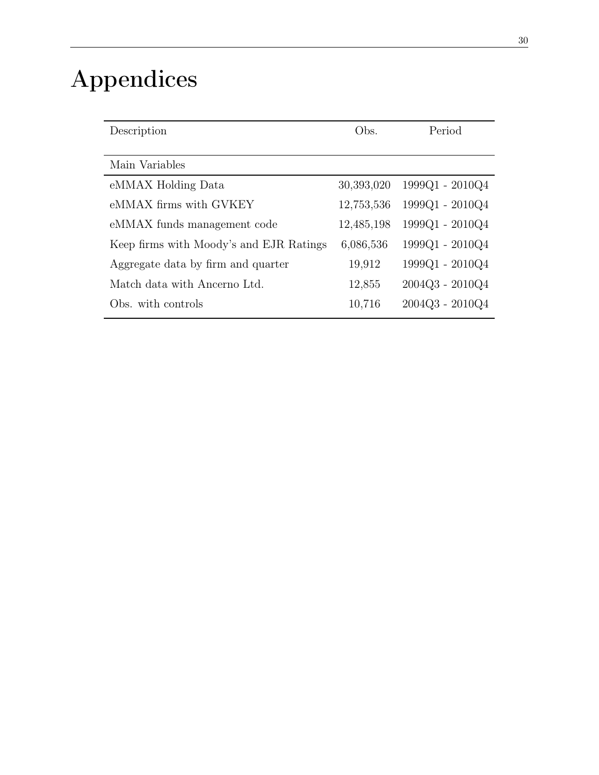# Appendices

| Description                             | Obs.       | Period            |
|-----------------------------------------|------------|-------------------|
|                                         |            |                   |
| Main Variables                          |            |                   |
| eMMAX Holding Data                      | 30,393,020 | $1999Q1 - 2010Q4$ |
| eMMAX firms with GVKEY                  | 12,753,536 | 1999Q1 - 2010Q4   |
| eMMAX funds management code             | 12,485,198 | 1999Q1 - 2010Q4   |
| Keep firms with Moody's and EJR Ratings | 6,086,536  | 1999Q1 - 2010Q4   |
| Aggregate data by firm and quarter      | 19,912     | 1999Q1 - 2010Q4   |
| Match data with Ancerno Ltd.            | 12,855     | 2004Q3 - 2010Q4   |
| Obs. with controls                      | 10,716     | 2004Q3 - 2010Q4   |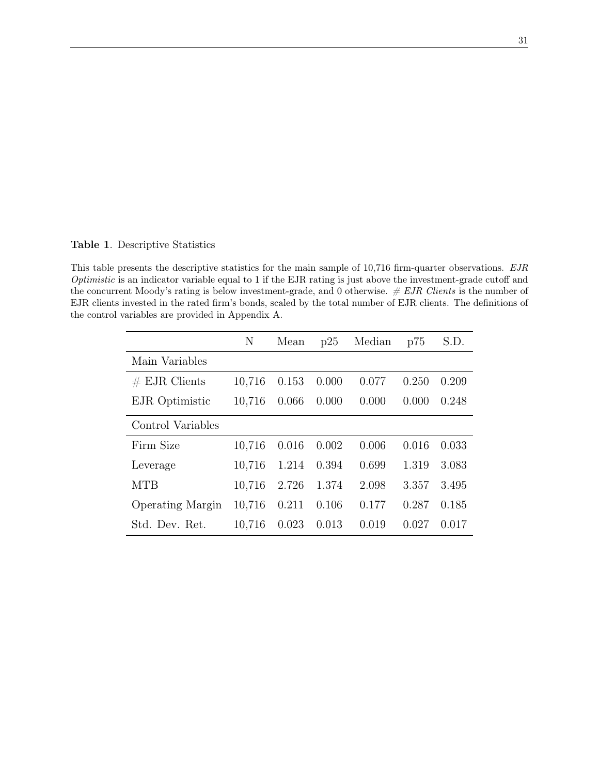Table 1. Descriptive Statistics

This table presents the descriptive statistics for the main sample of 10,716 firm-quarter observations. EJR Optimistic is an indicator variable equal to 1 if the EJR rating is just above the investment-grade cutoff and the concurrent Moody's rating is below investment-grade, and 0 otherwise.  $\# EJR$  Clients is the number of EJR clients invested in the rated firm's bonds, scaled by the total number of EJR clients. The definitions of the control variables are provided in Appendix A.

|                         | N      | Mean  | p25   | Median | p75   | S.D.  |
|-------------------------|--------|-------|-------|--------|-------|-------|
| Main Variables          |        |       |       |        |       |       |
| $#$ EJR Clients         | 10,716 | 0.153 | 0.000 | 0.077  | 0.250 | 0.209 |
| EJR Optimistic          | 10,716 | 0.066 | 0.000 | 0.000  | 0.000 | 0.248 |
| Control Variables       |        |       |       |        |       |       |
| Firm Size               | 10,716 | 0.016 | 0.002 | 0.006  | 0.016 | 0.033 |
| Leverage                | 10,716 | 1.214 | 0.394 | 0.699  | 1.319 | 3.083 |
| <b>MTB</b>              | 10,716 | 2.726 | 1.374 | 2.098  | 3.357 | 3.495 |
| <b>Operating Margin</b> | 10,716 | 0.211 | 0.106 | 0.177  | 0.287 | 0.185 |
| Std. Dev. Ret.          | 10,716 | 0.023 | 0.013 | 0.019  | 0.027 | 0.017 |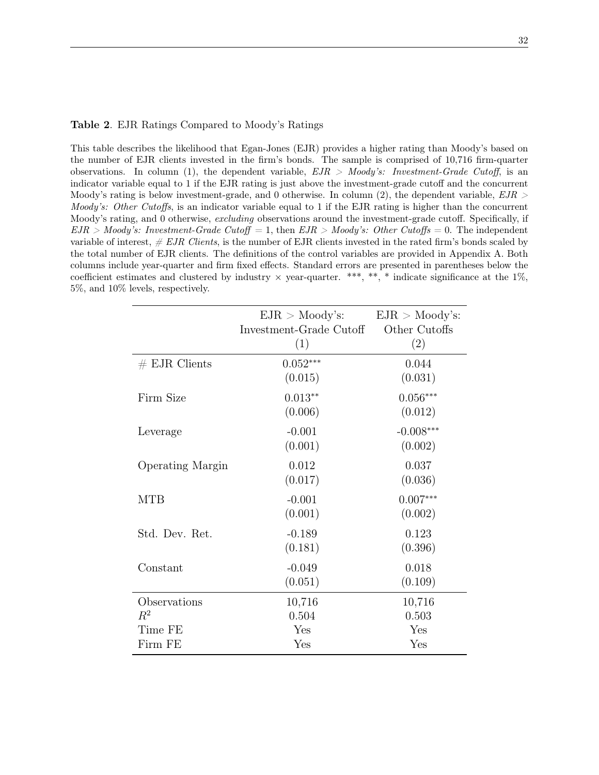#### Table 2. EJR Ratings Compared to Moody's Ratings

This table describes the likelihood that Egan-Jones (EJR) provides a higher rating than Moody's based on the number of EJR clients invested in the firm's bonds. The sample is comprised of 10,716 firm-quarter observations. In column (1), the dependent variable,  $EJR > Moody's: Investment-Grade$  Cutoff, is an indicator variable equal to 1 if the EJR rating is just above the investment-grade cutoff and the concurrent Moody's rating is below investment-grade, and 0 otherwise. In column (2), the dependent variable,  $EJR >$ Moody's: Other Cutoffs, is an indicator variable equal to 1 if the EJR rating is higher than the concurrent Moody's rating, and 0 otherwise, excluding observations around the investment-grade cutoff. Specifically, if  $EJR > Moody's: Investment-Grade Cutoff = 1$ , then  $EJR > Moody's: Other Cutoffs = 0$ . The independent variable of interest,  $\#$  EJR Clients, is the number of EJR clients invested in the rated firm's bonds scaled by the total number of EJR clients. The definitions of the control variables are provided in Appendix A. Both columns include year-quarter and firm fixed effects. Standard errors are presented in parentheses below the coefficient estimates and clustered by industry  $\times$  year-quarter. \*\*\*, \*\*, \* indicate significance at the 1%, 5%, and 10% levels, respectively.

|                         | $EJR >$ Moody's:        | $EJR >$ Moody's: |
|-------------------------|-------------------------|------------------|
|                         | Investment-Grade Cutoff | Other Cutoffs    |
|                         | (1)                     | (2)              |
| $#$ EJR Clients         | $0.052***$              | 0.044            |
|                         | (0.015)                 | (0.031)          |
| Firm Size               | $0.013**$               | $0.056***$       |
|                         | (0.006)                 | (0.012)          |
| Leverage                | $-0.001$                | $-0.008***$      |
|                         | (0.001)                 | (0.002)          |
| <b>Operating Margin</b> | 0.012                   | 0.037            |
|                         | (0.017)                 | (0.036)          |
| <b>MTB</b>              | $-0.001$                | $0.007***$       |
|                         | (0.001)                 | (0.002)          |
| Std. Dev. Ret.          | $-0.189$                | 0.123            |
|                         | (0.181)                 | (0.396)          |
| Constant                | $-0.049$                | 0.018            |
|                         | (0.051)                 | (0.109)          |
| Observations            | 10,716                  | 10,716           |
| $R^2$                   | 0.504                   | 0.503            |
| Time FE                 | Yes                     | Yes              |
| Firm FE                 | Yes                     | Yes              |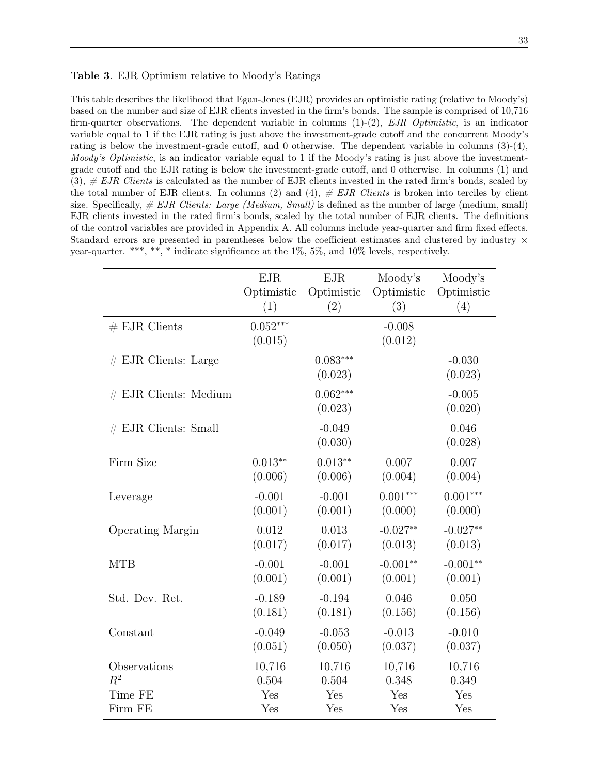#### Table 3. EJR Optimism relative to Moody's Ratings

This table describes the likelihood that Egan-Jones (EJR) provides an optimistic rating (relative to Moody's) based on the number and size of EJR clients invested in the firm's bonds. The sample is comprised of 10,716 firm-quarter observations. The dependent variable in columns  $(1)-(2)$ , EJR Optimistic, is an indicator variable equal to 1 if the EJR rating is just above the investment-grade cutoff and the concurrent Moody's rating is below the investment-grade cutoff, and 0 otherwise. The dependent variable in columns (3)-(4), Moody's Optimistic, is an indicator variable equal to 1 if the Moody's rating is just above the investmentgrade cutoff and the EJR rating is below the investment-grade cutoff, and 0 otherwise. In columns (1) and  $(3), \#$  EJR Clients is calculated as the number of EJR clients invested in the rated firm's bonds, scaled by the total number of EJR clients. In columns (2) and (4),  $\#$  EJR Clients is broken into terciles by client size. Specifically,  $\#$  EJR Clients: Large (Medium, Small) is defined as the number of large (medium, small) EJR clients invested in the rated firm's bonds, scaled by the total number of EJR clients. The definitions of the control variables are provided in Appendix A. All columns include year-quarter and firm fixed effects. Standard errors are presented in parentheses below the coefficient estimates and clustered by industry  $\times$ year-quarter. \*\*\*, \*\*, \* indicate significance at the 1%, 5%, and 10% levels, respectively.

|                         | EJR                   | EJR                   | Moody's             | Moody's             |
|-------------------------|-----------------------|-----------------------|---------------------|---------------------|
|                         | Optimistic            | Optimistic            | Optimistic          | Optimistic          |
|                         | (1)                   | (2)                   | (3)                 | (4)                 |
| $#$ EJR Clients         | $0.052***$<br>(0.015) |                       | $-0.008$<br>(0.012) |                     |
| $#$ EJR Clients: Large  |                       | $0.083***$<br>(0.023) |                     | $-0.030$<br>(0.023) |
| $#$ EJR Clients: Medium |                       | $0.062***$<br>(0.023) |                     | $-0.005$<br>(0.020) |
| $#$ EJR Clients: Small  |                       | $-0.049$<br>(0.030)   |                     | 0.046<br>(0.028)    |
| Firm Size               | $0.013**$             | $0.013**$             | 0.007               | 0.007               |
|                         | (0.006)               | (0.006)               | (0.004)             | (0.004)             |
| Leverage                | $-0.001$              | $-0.001$              | $0.001***$          | $0.001***$          |
|                         | (0.001)               | (0.001)               | (0.000)             | (0.000)             |
| <b>Operating Margin</b> | 0.012                 | 0.013                 | $-0.027**$          | $-0.027**$          |
|                         | (0.017)               | (0.017)               | (0.013)             | (0.013)             |
| <b>MTB</b>              | $-0.001$              | $-0.001$              | $-0.001**$          | $-0.001**$          |
|                         | (0.001)               | (0.001)               | (0.001)             | (0.001)             |
| Std. Dev. Ret.          | $-0.189$              | $-0.194$              | 0.046               | 0.050               |
|                         | (0.181)               | (0.181)               | (0.156)             | (0.156)             |
| Constant                | $-0.049$              | $-0.053$              | $-0.013$            | $-0.010$            |
|                         | (0.051)               | (0.050)               | (0.037)             | (0.037)             |
| Observations            | 10,716                | 10,716                | 10,716              | 10,716              |
| $R^2$                   | 0.504                 | 0.504                 | 0.348               | 0.349               |
| Time FE                 | Yes                   | Yes                   | Yes                 | Yes                 |
| Firm FE                 | Yes                   | Yes                   | Yes                 | Yes                 |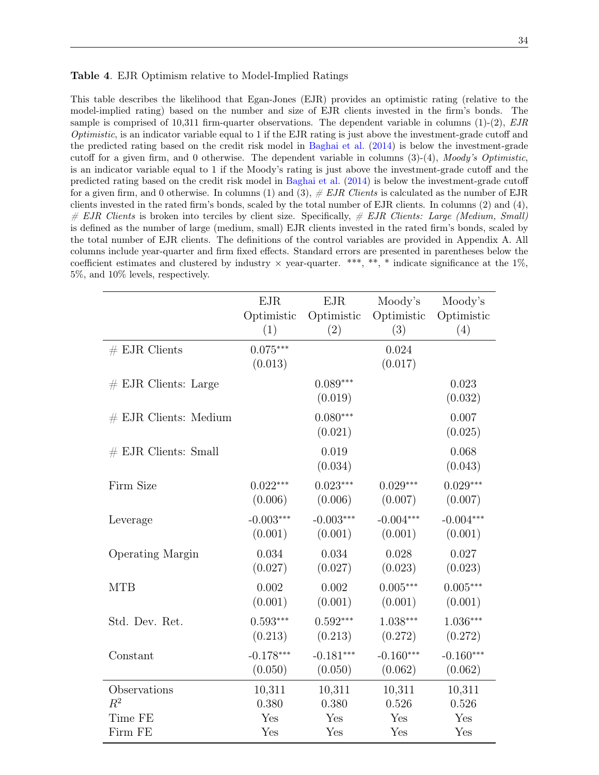#### Table 4. EJR Optimism relative to Model-Implied Ratings

This table describes the likelihood that Egan-Jones (EJR) provides an optimistic rating (relative to the model-implied rating) based on the number and size of EJR clients invested in the firm's bonds. The sample is comprised of 10,311 firm-quarter observations. The dependent variable in columns  $(1)-(2)$ , EJR  $Optimistic$ , is an indicator variable equal to 1 if the EJR rating is just above the investment-grade cutoff and the predicted rating based on the credit risk model in [Baghai et al.](#page-25-5) [\(2014\)](#page-25-5) is below the investment-grade cutoff for a given firm, and 0 otherwise. The dependent variable in columns  $(3)-(4)$ , Moody's Optimistic, is an indicator variable equal to 1 if the Moody's rating is just above the investment-grade cutoff and the predicted rating based on the credit risk model in [Baghai et al.](#page-25-5) [\(2014\)](#page-25-5) is below the investment-grade cutoff for a given firm, and 0 otherwise. In columns (1) and (3),  $\#$  EJR Clients is calculated as the number of EJR clients invested in the rated firm's bonds, scaled by the total number of EJR clients. In columns (2) and (4), # EJR Clients is broken into terciles by client size. Specifically, # EJR Clients: Large (Medium, Small) is defined as the number of large (medium, small) EJR clients invested in the rated firm's bonds, scaled by the total number of EJR clients. The definitions of the control variables are provided in Appendix A. All columns include year-quarter and firm fixed effects. Standard errors are presented in parentheses below the coefficient estimates and clustered by industry  $\times$  year-quarter. \*\*\*, \*\*, \* indicate significance at the 1%, 5%, and 10% levels, respectively.

|                         | <b>EJR</b>        | <b>EJR</b>        | Moody's           | Moody's           |
|-------------------------|-------------------|-------------------|-------------------|-------------------|
|                         | Optimistic<br>(1) | Optimistic<br>(2) | Optimistic<br>(3) | Optimistic<br>(4) |
| $#$ EJR Clients         | $0.075***$        |                   | 0.024             |                   |
|                         | (0.013)           |                   | (0.017)           |                   |
| $#$ EJR Clients: Large  |                   | $0.089***$        |                   | 0.023             |
|                         |                   | (0.019)           |                   | (0.032)           |
| $#$ EJR Clients: Medium |                   | $0.080***$        |                   | 0.007             |
|                         |                   | (0.021)           |                   | (0.025)           |
| $#$ EJR Clients: Small  |                   | 0.019             |                   | 0.068             |
|                         |                   | (0.034)           |                   | (0.043)           |
| Firm Size               | $0.022***$        | $0.023***$        | $0.029***$        | $0.029***$        |
|                         | (0.006)           | (0.006)           | (0.007)           | (0.007)           |
| Leverage                | $-0.003***$       | $-0.003***$       | $-0.004***$       | $-0.004***$       |
|                         | (0.001)           | (0.001)           | (0.001)           | (0.001)           |
| <b>Operating Margin</b> | 0.034             | 0.034             | 0.028             | 0.027             |
|                         | (0.027)           | (0.027)           | (0.023)           | (0.023)           |
| <b>MTB</b>              | 0.002             | 0.002             | $0.005***$        | $0.005***$        |
|                         | (0.001)           | (0.001)           | (0.001)           | (0.001)           |
| Std. Dev. Ret.          | $0.593***$        | $0.592***$        | $1.038***$        | $1.036***$        |
|                         | (0.213)           | (0.213)           | (0.272)           | (0.272)           |
| Constant                | $-0.178***$       | $-0.181***$       | $-0.160***$       | $-0.160***$       |
|                         | (0.050)           | (0.050)           | (0.062)           | (0.062)           |
| Observations<br>$R^2$   | 10,311<br>0.380   | 10,311<br>0.380   | 10,311<br>0.526   | 10,311<br>0.526   |
| Time FE                 | Yes               | Yes               | Yes               | Yes               |
| Firm FE                 | Yes               | Yes               | Yes               | Yes               |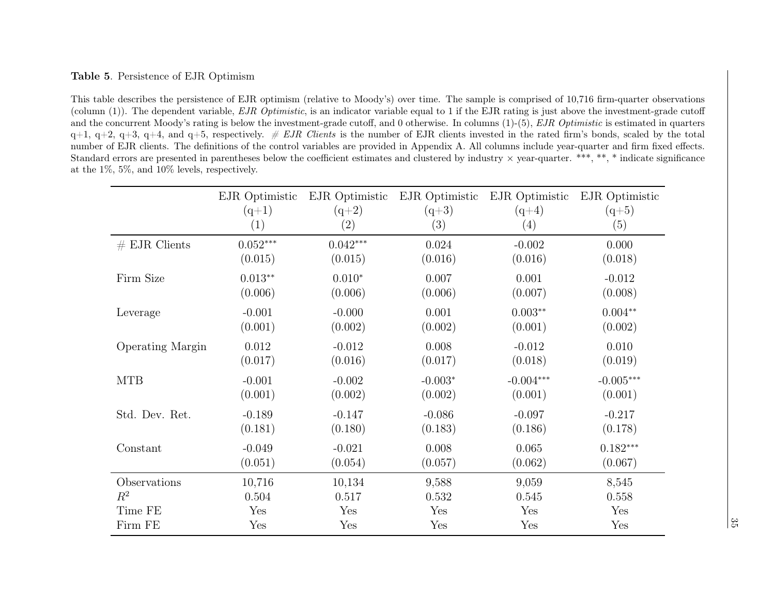# Table 5. Persistence of EJR Optimism

This table describes the persistence of EJR optimism (relative to Moody's) over time. The sample is comprised of 10,716 firm-quarter observations(column  $(1)$ ). The dependent variable, EJR Optimistic, is an indicator variable equal to 1 if the EJR rating is just above the investment-grade cutoff and the concurrent Moody's rating is below the investment-grade cutoff, and 0 otherwise. In columns  $(1)-(5)$ , *EJR Optimistic* is estimated in quarters  $q+1$ ,  $q+2$ ,  $q+3$ ,  $q+4$ , and  $q+5$ , respectively. # EJR Clients is the number of EJR clients invested in the rated firm's bonds, scaled by the total number of EJR clients. The definitions of the control variables are provided in Appendix A. All columns include year-quarter and firm fixed effects.Standard errors are presented in parentheses below the coefficient estimates and clustered by industry  $\times$  year-quarter. \*\*\*, \*\*, \* indicate significance at the 1%, 5%, and 10% levels, respectively.

|                         | EJR Optimistic | EJR Optimistic | EJR Optimistic | EJR Optimistic | EJR Optimistic |
|-------------------------|----------------|----------------|----------------|----------------|----------------|
|                         | $(q+1)$        | $(q+2)$        | $(q+3)$        | $(q+4)$        | $(q+5)$        |
|                         | (1)            | (2)            | (3)            | (4)            | (5)            |
| $#$ EJR Clients         | $0.052***$     | $0.042***$     | 0.024          | $-0.002$       | 0.000          |
|                         | (0.015)        | (0.015)        | (0.016)        | (0.016)        | (0.018)        |
| Firm Size               | $0.013**$      | $0.010*$       | 0.007          | 0.001          | $-0.012$       |
|                         | (0.006)        | (0.006)        | (0.006)        | (0.007)        | (0.008)        |
| Leverage                | $-0.001$       | $-0.000$       | 0.001          | $0.003**$      | $0.004**$      |
|                         | (0.001)        | (0.002)        | (0.002)        | (0.001)        | (0.002)        |
| <b>Operating Margin</b> | 0.012          | $-0.012$       | 0.008          | $-0.012$       | 0.010          |
|                         | (0.017)        | (0.016)        | (0.017)        | (0.018)        | (0.019)        |
| <b>MTB</b>              | $-0.001$       | $-0.002$       | $-0.003*$      | $-0.004***$    | $-0.005***$    |
|                         | (0.001)        | (0.002)        | (0.002)        | (0.001)        | (0.001)        |
| Std. Dev. Ret.          | $-0.189$       | $-0.147$       | $-0.086$       | $-0.097$       | $-0.217$       |
|                         | (0.181)        | (0.180)        | (0.183)        | (0.186)        | (0.178)        |
| Constant                | $-0.049$       | $-0.021$       | 0.008          | 0.065          | $0.182***$     |
|                         | (0.051)        | (0.054)        | (0.057)        | (0.062)        | (0.067)        |
| Observations            | 10,716         | 10,134         | 9,588          | 9,059          | 8,545          |
| $R^2$                   | 0.504          | 0.517          | 0.532          | 0.545          | 0.558          |
| Time FE                 | Yes            | Yes            | Yes            | Yes            | Yes            |
| Firm FE                 | Yes            | Yes            | Yes            | Yes            | Yes            |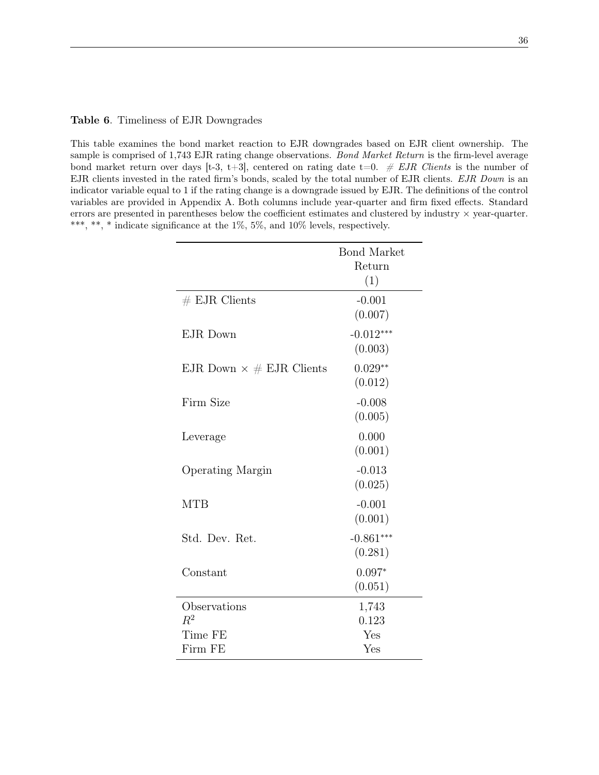#### Table 6. Timeliness of EJR Downgrades

This table examines the bond market reaction to EJR downgrades based on EJR client ownership. The sample is comprised of 1,743 EJR rating change observations. Bond Market Return is the firm-level average bond market return over days [t-3, t+3], centered on rating date t=0. # EJR Clients is the number of EJR clients invested in the rated firm's bonds, scaled by the total number of EJR clients. EJR Down is an indicator variable equal to 1 if the rating change is a downgrade issued by EJR. The definitions of the control variables are provided in Appendix A. Both columns include year-quarter and firm fixed effects. Standard errors are presented in parentheses below the coefficient estimates and clustered by industry  $\times$  year-quarter. \*\*\*, \*\*, \* indicate significance at the  $1\%$ , 5%, and  $10\%$  levels, respectively.

|                                  | <b>Bond Market</b> |
|----------------------------------|--------------------|
|                                  | Return             |
|                                  | (1)                |
| $#$ EJR Clients                  | $-0.001$           |
|                                  | (0.007)            |
| EJR Down                         | $-0.012***$        |
|                                  | (0.003)            |
| EJR Down $\times \#$ EJR Clients | $0.029**$          |
|                                  | (0.012)            |
| Firm Size                        | $-0.008$           |
|                                  | (0.005)            |
| Leverage                         | 0.000              |
|                                  | (0.001)            |
| <b>Operating Margin</b>          | $-0.013$           |
|                                  | (0.025)            |
| <b>MTB</b>                       | $-0.001$           |
|                                  | (0.001)            |
| Std. Dev. Ret.                   | $-0.861***$        |
|                                  | (0.281)            |
| Constant                         | $0.097*$           |
|                                  | (0.051)            |
| Observations                     | 1,743              |
| $R^2$                            | 0.123              |
| Time FE                          | Yes                |
| Firm FE                          | Yes                |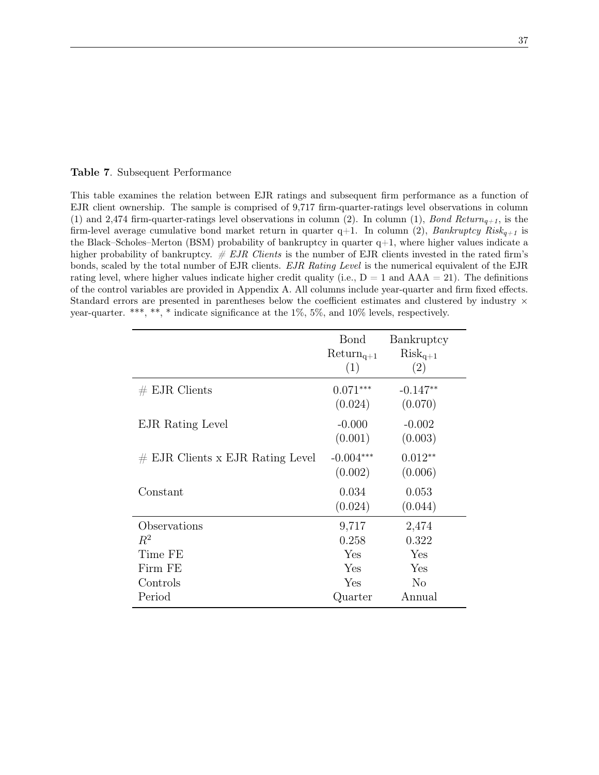Table 7. Subsequent Performance

This table examines the relation between EJR ratings and subsequent firm performance as a function of EJR client ownership. The sample is comprised of 9,717 firm-quarter-ratings level observations in column (1) and 2,474 firm-quarter-ratings level observations in column (2). In column (1), Bond Return<sub>q+1</sub>, is the firm-level average cumulative bond market return in quarter q+1. In column (2), Bankruptcy Risk<sub>q+1</sub> is the Black–Scholes–Merton (BSM) probability of bankruptcy in quarter  $q+1$ , where higher values indicate a higher probability of bankruptcy.  $\# EJR$  Clients is the number of EJR clients invested in the rated firm's bonds, scaled by the total number of EJR clients. EJR Rating Level is the numerical equivalent of the EJR rating level, where higher values indicate higher credit quality (i.e.,  $D = 1$  and  $AAA = 21$ ). The definitions of the control variables are provided in Appendix A. All columns include year-quarter and firm fixed effects. Standard errors are presented in parentheses below the coefficient estimates and clustered by industry  $\times$ year-quarter. \*\*\*, \*\*, \* indicate significance at the 1%, 5%, and 10% levels, respectively.

|                                    | Bond<br>$Return_{q+1}$<br>(1) | Bankruptcy<br>$Risk_{q+1}$<br>(2) |
|------------------------------------|-------------------------------|-----------------------------------|
| $#$ EJR Clients                    | $0.071***$<br>(0.024)         | $-0.147**$<br>(0.070)             |
| EJR Rating Level                   | $-0.000$<br>(0.001)           | $-0.002$<br>(0.003)               |
| $#$ EJR Clients x EJR Rating Level | $-0.004***$<br>(0.002)        | $0.012**$<br>(0.006)              |
| Constant                           | 0.034<br>(0.024)              | 0.053<br>(0.044)                  |
| Observations                       | 9,717                         | 2,474                             |
| $R^2$                              | 0.258                         | 0.322                             |
| Time FE                            | Yes                           | Yes                               |
| Firm FE                            | Yes                           | Yes                               |
| Controls                           | Yes                           | $\rm No$                          |
| Period                             | Quarter                       | Annual                            |